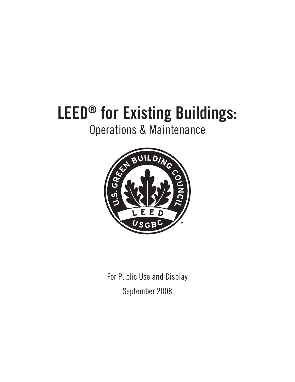# **LEED® for Existing Buildings:**

## Operations & Maintenance



For Public Use and Display September 2008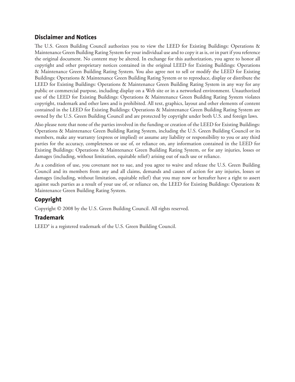### **Disclaimer and Notices**

The U.S. Green Building Council authorizes you to view the LEED for Existing Buildings: Operations & Maintenance Green Building Rating System for your individual use and to copy it as is, or in part if you reference the original document. No content may be altered. In exchange for this authorization, you agree to honor all copyright and other proprietary notices contained in the original LEED for Existing Buildings: Operations & Maintenance Green Building Rating System. You also agree not to sell or modify the LEED for Existing Buildings: Operations & Maintenance Green Building Rating System or to reproduce, display or distribute the LEED for Existing Buildings: Operations & Maintenance Green Building Rating System in any way for any public or commercial purpose, including display on a Web site or in a networked environment. Unauthorized use of the LEED for Existing Buildings: Operations & Maintenance Green Building Rating System violates copyright, trademark and other laws and is prohibited. All text, graphics, layout and other elements of content contained in the LEED for Existing Buildings: Operations & Maintenance Green Building Rating System are owned by the U.S. Green Building Council and are protected by copyright under both U.S. and foreign laws.

Also please note that none of the parties involved in the funding or creation of the LEED for Existing Buildings: Operations & Maintenance Green Building Rating System, including the U.S. Green Building Council or its members, make any warranty (express or implied) or assume any liability or responsibility to you or any third parties for the accuracy, completeness or use of, or reliance on, any information contained in the LEED for Existing Buildings: Operations & Maintenance Green Building Rating System, or for any injuries, losses or damages (including, without limitation, equitable relief) arising out of such use or reliance.

As a condition of use, you covenant not to sue, and you agree to waive and release the U.S. Green Building Council and its members from any and all claims, demands and causes of action for any injuries, losses or damages (including, without limitation, equitable relief) that you may now or hereafter have a right to assert against such parties as a result of your use of, or reliance on, the LEED for Existing Buildings: Operations & Maintenance Green Building Rating System.

### **Copyright**

Copyright © 2008 by the U.S. Green Building Council. All rights reserved.

### **Trademark**

LEED® is a registered trademark of the U.S. Green Building Council.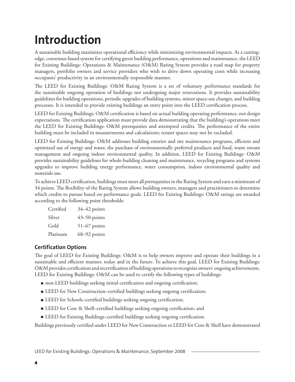## **Introduction**

A sustainable building maximizes operational efficiency while minimizing environmental impacts. As a cuttingedge, consensus-based system for certifying green building performance, operations and maintenance, the LEED for Existing Buildings: Operations & Maintenance (O&M) Rating System provides a road map for property managers, portfolio owners and service providers who wish to drive down operating costs while increasing occupants' productivity in an environmentally responsible manner.

The LEED for Existing Buildings: O&M Rating System is a set of voluntary performance standards for the sustainable ongoing operation of buildings not undergoing major renovations. It provides sustainability guidelines for building operations, periodic upgrades of building systems, minor space-use changes, and building processes. It is intended to provide existing buildings an entry point into the LEED certification process.

LEED for Existing Buildings: O&M certification is based on actual building operating performance, not design expectations. The certification application must provide data demonstrating that the building's operations meet the LEED for Existing Buildings: O&M prerequisites and attempted credits. The performance of the entire building must be included in measurements and calculations; tenant spaces may not be excluded.

LEED for Existing Buildings: O&M addresses building exterior and site maintenance programs, efficient and optimized use of energy and water, the purchase of environmentally preferred products and food, waste stream management and ongoing indoor environmental quality. In addition, LEED for Existing Buildings: O&M provides sustainability guidelines for whole-building cleaning and maintenance, recycling programs and systems upgrades to improve building energy performance, water consumption, indoor environmental quality and materials use.

To achieve LEED certification, buildings must meet all prerequisites in the Rating System and earn a minimum of 34 points. The flexibility of the Rating System allows building owners, managers and practitioners to determine which credits to pursue based on performance goals. LEED for Existing Buildings: O&M ratings are awarded according to the following point thresholds:

| Certified | 34-42 points   |
|-----------|----------------|
| Silver    | $43-50$ points |
| Gold      | $51-67$ points |
| Platinum  | 68-92 points   |

### **Certification Options**

The goal of LEED for Existing Buildings: O&M is to help owners improve and operate their buildings in a sustainable and efficient manner, today and in the future. To achieve this goal, LEED for Existing Buildings: O&M provides certification and recertification of building operations to recognize owners' ongoing achievements. LEED for Existing Buildings: O&M can be used to certify the following types of buildings:

- non-LEED buildings seeking initial certification and ongoing certification;
- LEED for New Construction–certified buildings seeking ongoing certification;
- LEED for Schools–certified buildings seeking ongoing certification;
- LEED for Core & Shell–certified buildings seeking ongoing certification; and
- LEED for Existing Buildings–certified buildings seeking ongoing certification.

Buildings previously certified under LEED for New Construction or LEED for Core & Shell have demonstrated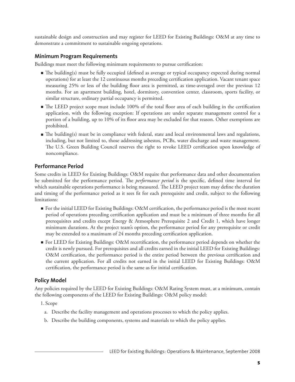sustainable design and construction and may register for LEED for Existing Buildings: O&M at any time to demonstrate a commitment to sustainable ongoing operations.

### **Minimum Program Requirements**

Buildings must meet the following minimum requirements to pursue certification:

- The building(s) must be fully occupied (defined as average or typical occupancy expected during normal operations) for at least the 12 continuous months preceding certification application. Vacant tenant space measuring 25% or less of the building floor area is permitted, as time-averaged over the previous 12 months. For an apartment building, hotel, dormitory, convention center, classroom, sports facility, or similar structure, ordinary partial occupancy is permitted.
- The LEED project scope must include 100% of the total floor area of each building in the certification application, with the following exception: If operations are under separate management control for a portion of a building, up to 10% of its floor area may be excluded for that reason. Other exemptions are prohibited.
- The building(s) must be in compliance with federal, state and local environmental laws and regulations, including, but not limited to, those addressing asbestos, PCBs, water discharge and waste management. The U.S. Green Building Council reserves the right to revoke LEED certification upon knowledge of noncompliance.

### **Performance Period**

Some credits in LEED for Existing Buildings: O&M require that performance data and other documentation be submitted for the performance period. The *performance period* is the specific, defined time interval for which sustainable operations performance is being measured. The LEED project team may define the duration and timing of the performance period as it sees fit for each prerequisite and credit, subject to the following limitations:

- For the initial LEED for Existing Buildings: O&M certification, the performance period is the most recent period of operations preceding certification application and must be a minimum of three months for all prerequisites and credits except Energy & Atmosphere Prerequisite 2 and Credit 1, which have longer minimum durations. At the project team's option, the performance period for any prerequisite or credit may be extended to a maximum of 24 months preceding certification application.
- For LEED for Existing Buildings: O&M recertification, the performance period depends on whether the credit is newly pursued. For prerequisites and all credits earned in the initial LEED for Existing Buildings: O&M certification, the performance period is the entire period between the previous certification and the current application. For all credits not earned in the initial LEED for Existing Buildings: O&M certification, the performance period is the same as for initial certification.

### **Policy Model**

Any policies required by the LEED for Existing Buildings: O&M Rating System must, at a minimum, contain the following components of the LEED for Existing Buildings: O&M policy model:

1. Scope

- a. Describe the facility management and operations processes to which the policy applies.
- b. Describe the building components, systems and materials to which the policy applies.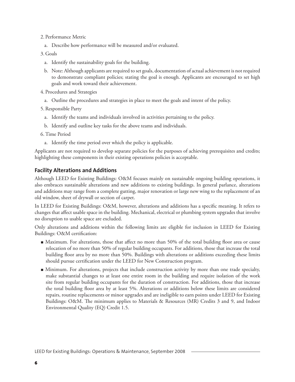2. Performance Metric

a. Describe how performance will be measured and/or evaluated.

3. Goals

- a. Identify the sustainability goals for the building.
- b. Note: Although applicants are required to set goals, documentation of actual achievement is not required to demonstrate compliant policies; stating the goal is enough. Applicants are encouraged to set high goals and work toward their achievement.
- 4. Procedures and Strategies
	- a. Outline the procedures and strategies in place to meet the goals and intent of the policy.
- 5.Responsible Party
	- a. Identify the teams and individuals involved in activities pertaining to the policy.
	- b. Identify and outline key tasks for the above teams and individuals.
- 6.Time Period
	- a. Identify the time period over which the policy is applicable.

Applicants are not required to develop separate policies for the purposes of achieving prerequisites and credits; highlighting these components in their existing operations policies is acceptable.

### **Facility Alterations and Additions**

Although LEED for Existing Buildings: O&M focuses mainly on sustainable ongoing building operations, it also embraces sustainable alterations and new additions to existing buildings. In general parlance, alterations and additions may range from a complete gutting, major renovation or large new wing to the replacement of an old window, sheet of drywall or section of carpet.

In LEED for Existing Buildings: O&M, however, alterations and additions has a specific meaning. It refers to changes that affect usable space in the building. Mechanical, electrical or plumbing system upgrades that involve no disruption to usable space are excluded.

Only alterations and additions within the following limits are eligible for inclusion in LEED for Existing Buildings: O&M certification:

- Maximum. For alterations, those that affect no more than 50% of the total building floor area or cause relocation of no more than 50% of regular building occupants. For additions, those that increase the total building floor area by no more than 50%. Buildings with alterations or additions exceeding these limits should pursue certification under the LEED for New Construction program.
- § Minimum. For alterations, projects that include construction activity by more than one trade specialty, make substantial changes to at least one entire room in the building and require isolation of the work site from regular building occupants for the duration of construction. For additions, those that increase the total building floor area by at least 5%. Alterations or additions below these limits are considered repairs, routine replacements or minor upgrades and are ineligible to earn points under LEED for Existing Buildings: O&M. The minimum applies to Materials & Resources (MR) Credits 3 and 9, and Indoor Environmental Quality (EQ) Credit 1.5.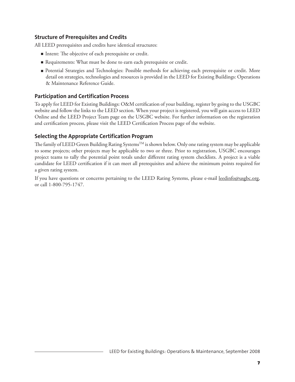### **Structure of Prerequisites and Credits**

All LEED prerequisites and credits have identical structures:

- Intent: The objective of each prerequisite or credit.
- Requirements: What must be done to earn each prerequisite or credit.
- Potential Strategies and Technologies: Possible methods for achieving each prerequisite or credit. More detail on strategies, technologies and resources is provided in the LEED for Existing Buildings: Operations & Maintenance Reference Guide.

### **Participation and Certification Process**

To apply for LEED for Existing Buildings: O&M certification of your building, register by going to the USGBC website and follow the links to the [LEED section.](http://www.usgbc.org/leed) When your project is registered, you will gain access to LEED Online and the LEED Project Team page on the USGBC website. For further information on the registration and certification process, please visit the [LEED Certification Process](http://www.usgbc.org/DisplayPage.aspx?CMSPageID=1497) page of the website.

### **Selecting the Appropriate Certification Program**

The family of LEED Green Building Rating Systems<sup>TM</sup> is shown below. Only one rating system may be applicable to some projects; other projects may be applicable to two or three. Prior to registration, USGBC encourages project teams to tally the potential point totals under different rating system checklists. A project is a viable candidate for LEED certification if it can meet all prerequisites and achieve the minimum points required for a given rating system.

If you have questions or concerns pertaining to the LEED Rating Systems, please e-mail [leedinfo@usgbc.org](mailto:leedinfo@usgbc.org), or call 1-800-795-1747.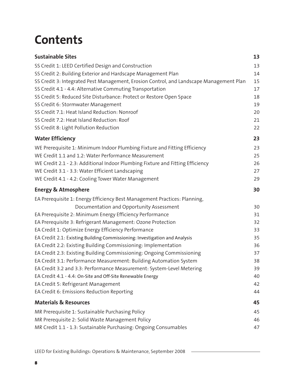## **Contents**

| <b>Sustainable Sites</b>                                                                | 13 |
|-----------------------------------------------------------------------------------------|----|
| SS Credit 1: LEED Certified Design and Construction                                     | 13 |
| SS Credit 2: Building Exterior and Hardscape Management Plan                            | 14 |
| SS Credit 3: Integrated Pest Management, Erosion Control, and Landscape Management Plan | 15 |
| SS Credit 4.1 - 4.4: Alternative Commuting Transportation                               | 17 |
| SS Credit 5: Reduced Site Disturbance: Protect or Restore Open Space                    | 18 |
| SS Credit 6: Stormwater Management                                                      | 19 |
| SS Credit 7.1: Heat Island Reduction: Nonroof                                           | 20 |
| SS Credit 7.2: Heat Island Reduction: Roof                                              | 21 |
| SS Credit 8: Light Pollution Reduction                                                  | 22 |
| <b>Water Efficiency</b>                                                                 | 23 |
| WE Prerequisite 1: Minimum Indoor Plumbing Fixture and Fitting Efficiency               | 23 |
| WE Credit 1.1 and 1.2: Water Performance Measurement                                    | 25 |
| WE Credit 2.1 - 2.3: Additional Indoor Plumbing Fixture and Fitting Efficiency          | 26 |
| WE Credit 3.1 - 3.3: Water Efficient Landscaping                                        | 27 |
| WE Credit 4.1 - 4.2: Cooling Tower Water Management                                     | 29 |
| <b>Energy &amp; Atmosphere</b>                                                          | 30 |
| EA Prerequisite 1: Energy Efficiency Best Management Practices: Planning,               |    |
| Documentation and Opportunity Assessment                                                | 30 |
| EA Prerequisite 2: Minimum Energy Efficiency Performance                                | 31 |
| EA Prerequisite 3: Refrigerant Management: Ozone Protection                             | 32 |
| EA Credit 1: Optimize Energy Efficiency Performance                                     | 33 |
| EA Credit 2.1: Existing Building Commissioning: Investigation and Analysis              | 35 |
| EA Credit 2.2: Existing Building Commissioning: Implementation                          | 36 |
| EA Credit 2.3: Existing Building Commissioning: Ongoing Commissioning                   | 37 |
| EA Credit 3.1: Performance Measurement: Building Automation System                      | 38 |
| EA Credit 3.2 and 3.3: Performance Measurement: System-Level Metering                   | 39 |
| EA Credit 4.1 - 4.4: On-Site and Off-Site Renewable Energy                              | 40 |
| EA Credit 5: Refrigerant Management                                                     | 42 |
| EA Credit 6: Emissions Reduction Reporting                                              | 44 |
| <b>Materials &amp; Resources</b>                                                        | 45 |
| MR Prerequisite 1: Sustainable Purchasing Policy                                        | 45 |
| MR Prerequisite 2: Solid Waste Management Policy                                        | 46 |
| MR Credit 1.1 - 1.3: Sustainable Purchasing: Ongoing Consumables                        | 47 |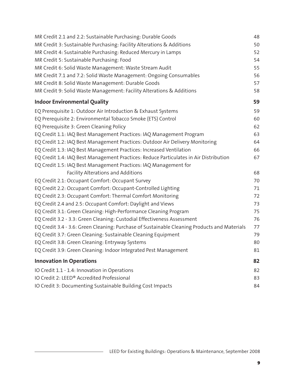| MR Credit 2.1 and 2.2: Sustainable Purchasing: Durable Goods                                 | 48 |
|----------------------------------------------------------------------------------------------|----|
| MR Credit 3: Sustainable Purchasing: Facility Alterations & Additions                        | 50 |
| MR Credit 4: Sustainable Purchasing: Reduced Mercury in Lamps                                | 52 |
| MR Credit 5: Sustainable Purchasing: Food                                                    | 54 |
| MR Credit 6: Solid Waste Management: Waste Stream Audit                                      | 55 |
| MR Credit 7.1 and 7.2: Solid Waste Management: Ongoing Consumables                           | 56 |
| MR Credit 8: Solid Waste Management: Durable Goods                                           | 57 |
| MR Credit 9: Solid Waste Management: Facility Alterations & Additions                        | 58 |
| <b>Indoor Environmental Quality</b>                                                          | 59 |
| EQ Prerequisite 1: Outdoor Air Introduction & Exhaust Systems                                | 59 |
| EQ Prerequisite 2: Environmental Tobacco Smoke (ETS) Control                                 | 60 |
| EQ Prerequisite 3: Green Cleaning Policy                                                     | 62 |
| EQ Credit 1.1: IAQ Best Management Practices: IAQ Management Program                         | 63 |
| EQ Credit 1.2: IAQ Best Management Practices: Outdoor Air Delivery Monitoring                | 64 |
| EQ Credit 1.3: IAQ Best Management Practices: Increased Ventilation                          | 66 |
| EQ Credit 1.4: IAQ Best Management Practices: Reduce Particulates in Air Distribution        | 67 |
| EQ Credit 1.5: IAQ Best Management Practices: IAQ Management for                             |    |
| Facility Alterations and Additions                                                           | 68 |
| EQ Credit 2.1: Occupant Comfort: Occupant Survey                                             | 70 |
| EQ Credit 2.2: Occupant Comfort: Occupant-Controlled Lighting                                | 71 |
| EQ Credit 2.3: Occupant Comfort: Thermal Comfort Monitoring                                  | 72 |
| EQ Credit 2.4 and 2.5: Occupant Comfort: Daylight and Views                                  | 73 |
| EQ Credit 3.1: Green Cleaning: High-Performance Cleaning Program                             | 75 |
| EQ Credit 3.2 - 3.3: Green Cleaning: Custodial Effectiveness Assessment                      | 76 |
| EQ Credit 3.4 - 3.6: Green Cleaning: Purchase of Sustainable Cleaning Products and Materials | 77 |
| EQ Credit 3.7: Green Cleaning: Sustainable Cleaning Equipment                                | 79 |
| EQ Credit 3.8: Green Cleaning: Entryway Systems                                              | 80 |
| EQ Credit 3.9: Green Cleaning: Indoor Integrated Pest Management                             | 81 |
| <b>Innovation In Operations</b>                                                              | 82 |
| IO Credit 1.1 - 1.4: Innovation in Operations                                                | 82 |
| IO Credit 2: LEED® Accredited Professional                                                   | 83 |
| IO Credit 3: Documenting Sustainable Building Cost Impacts                                   | 84 |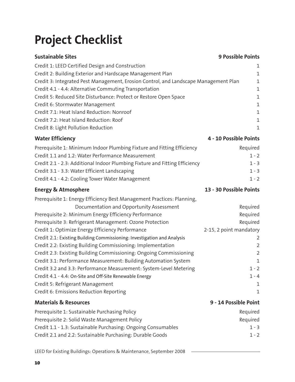## **Project Checklist**

| <b>Sustainable Sites</b>                                                             | <b>9 Possible Points</b> |
|--------------------------------------------------------------------------------------|--------------------------|
| Credit 1: LEED Certified Design and Construction                                     | 1                        |
| Credit 2: Building Exterior and Hardscape Management Plan                            | $\mathbf{1}$             |
| Credit 3: Integrated Pest Management, Erosion Control, and Landscape Management Plan | $\mathbf{1}$             |
| Credit 4.1 - 4.4: Alternative Commuting Transportation                               | $\mathbf{1}$             |
| Credit 5: Reduced Site Disturbance: Protect or Restore Open Space                    | $\mathbf{1}$             |
| Credit 6: Stormwater Management                                                      | $\mathbf{1}$             |
| Credit 7.1: Heat Island Reduction: Nonroof                                           | $\mathbf 1$              |
| Credit 7.2: Heat Island Reduction: Roof                                              | $\mathbf{1}$             |
| Credit 8: Light Pollution Reduction                                                  | $\mathbf{1}$             |
| <b>Water Efficiency</b>                                                              | 4 - 10 Possible Points   |
| Prerequisite 1: Minimum Indoor Plumbing Fixture and Fitting Efficiency               | Required                 |
| Credit 1.1 and 1.2: Water Performance Measurement                                    | $1 - 2$                  |
| Credit 2.1 - 2.3: Additional Indoor Plumbing Fixture and Fitting Efficiency          | $1 - 3$                  |
| Credit 3.1 - 3.3: Water Efficient Landscaping                                        | $1 - 3$                  |
| Credit 4.1 - 4.2: Cooling Tower Water Management                                     | $1 - 2$                  |
| <b>Energy &amp; Atmosphere</b>                                                       | 13 - 30 Possible Points  |
| Prerequisite 1: Energy Efficiency Best Management Practices: Planning,               |                          |
| Documentation and Opportunity Assessment                                             | Required                 |
| Prerequisite 2: Minimum Energy Efficiency Performance                                | Required                 |
| Prerequisite 3: Refrigerant Management: Ozone Protection                             | Required                 |
| Credit 1: Optimize Energy Efficiency Performance                                     | 2-15, 2 point mandatory  |
| Credit 2.1: Existing Building Commissioning: Investigation and Analysis              | 2                        |
| Credit 2.2: Existing Building Commissioning: Implementation                          | $\overline{2}$           |
| Credit 2.3: Existing Building Commissioning: Ongoing Commissioning                   | $\overline{2}$           |
| Credit 3.1: Performance Measurement: Building Automation System                      | 1                        |
| Credit 3.2 and 3.3: Performance Measurement: System-Level Metering                   | $1 - 2$                  |
| Credit 4.1 - 4.4: On-Site and Off-Site Renewable Energy                              | $1 - 4$                  |
| Credit 5: Refrigerant Management                                                     | 1                        |
| Credit 6: Emissions Reduction Reporting                                              | 1                        |
| <b>Materials &amp; Resources</b>                                                     | 9 - 14 Possible Point    |
| Prerequisite 1: Sustainable Purchasing Policy                                        | Required                 |
| Prerequisite 2: Solid Waste Management Policy                                        | Required                 |
| Credit 1.1 - 1.3: Sustainable Purchasing: Ongoing Consumables                        | $1 - 3$                  |
| Credit 2.1 and 2.2: Sustainable Purchasing: Durable Goods                            | $1 - 2$                  |
|                                                                                      |                          |

LEED for Existing Buildings: Operations & Maintenance, September 2008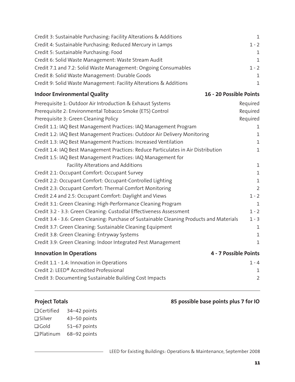| Credit 3: Sustainable Purchasing: Facility Alterations & Additions                        | $\mathbf{1}$   |
|-------------------------------------------------------------------------------------------|----------------|
| Credit 4: Sustainable Purchasing: Reduced Mercury in Lamps                                | $1 - 2$        |
| Credit 5: Sustainable Purchasing: Food                                                    | 1              |
| Credit 6: Solid Waste Management: Waste Stream Audit                                      | $\mathbf{1}$   |
| Credit 7.1 and 7.2: Solid Waste Management: Ongoing Consumables                           | $1 - 2$        |
| Credit 8: Solid Waste Management: Durable Goods                                           | 1              |
| Credit 9: Solid Waste Management: Facility Alterations & Additions                        | $\mathbf{1}$   |
| <b>Indoor Environmental Quality</b><br>16 - 20 Possible Points                            |                |
| Prerequisite 1: Outdoor Air Introduction & Exhaust Systems                                | Required       |
| Prerequisite 2: Environmental Tobacco Smoke (ETS) Control                                 | Required       |
| Prerequisite 3: Green Cleaning Policy                                                     | Required       |
| Credit 1.1: IAQ Best Management Practices: IAQ Management Program                         | 1              |
| Credit 1.2: IAQ Best Management Practices: Outdoor Air Delivery Monitoring                | 1              |
| Credit 1.3: IAQ Best Management Practices: Increased Ventilation                          | $\mathbf{1}$   |
| Credit 1.4: IAQ Best Management Practices: Reduce Particulates in Air Distribution        | $\mathbf{1}$   |
| Credit 1.5: IAQ Best Management Practices: IAQ Management for                             |                |
| Facility Alterations and Additions                                                        | $\mathbf{1}$   |
| Credit 2.1: Occupant Comfort: Occupant Survey                                             | $1\,$          |
| Credit 2.2: Occupant Comfort: Occupant-Controlled Lighting                                | $\mathbf{1}$   |
| Credit 2.3: Occupant Comfort: Thermal Comfort Monitoring                                  | 2              |
| Credit 2.4 and 2.5: Occupant Comfort: Daylight and Views                                  | $1 - 2$        |
| Credit 3.1: Green Cleaning: High-Performance Cleaning Program                             | 1              |
| Credit 3.2 - 3.3: Green Cleaning: Custodial Effectiveness Assessment                      | $1 - 2$        |
| Credit 3.4 - 3.6: Green Cleaning: Purchase of Sustainable Cleaning Products and Materials | $1 - 3$        |
| Credit 3.7: Green Cleaning: Sustainable Cleaning Equipment                                | 1              |
| Credit 3.8: Green Cleaning: Entryway Systems                                              | $\mathbf{1}$   |
| Credit 3.9: Green Cleaning: Indoor Integrated Pest Management                             | $\mathbf{1}$   |
| 4 - 7 Possible Points<br><b>Innovation In Operations</b>                                  |                |
| Credit 1.1 - 1.4: Innovation in Operations                                                | $1 - 4$        |
| Credit 2: LEED® Accredited Professional                                                   | 1              |
| Credit 3: Documenting Sustainable Building Cost Impacts                                   | $\overline{2}$ |

## **Project Totals 85 possible base points plus 7 for IO**

- □ Certified 34-42 points
- □Silver 43-50 points
- Gold 51–67 points
- □ Platinum 68-92 points

LEED for Existing Buildings: Operations & Maintenance, September 2008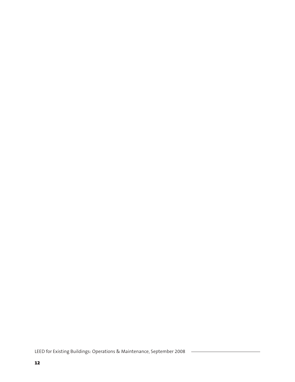LEED for Existing Buildings: Operations & Maintenance, September 2008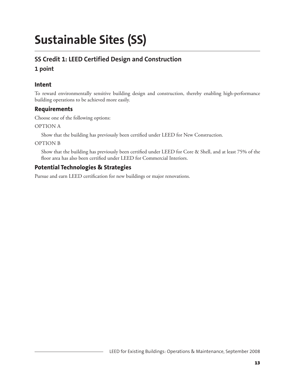## **Sustainable Sites (SS)**

## **SS Credit 1: LEED Certified Design and Construction**

### **1 point**

### **Intent**

To reward environmentally sensitive building design and construction, thereby enabling high-performance building operations to be achieved more easily.

### **Requirements**

Choose one of the following options:

OPTION A

Show that the building has previously been certified under LEED for New Construction.

### OPTION B

Show that the building has previously been certified under LEED for Core & Shell, and at least 75% of the floor area has also been certified under LEED for Commercial Interiors.

## **Potential Technologies & Strategies**

Pursue and earn LEED certification for new buildings or major renovations.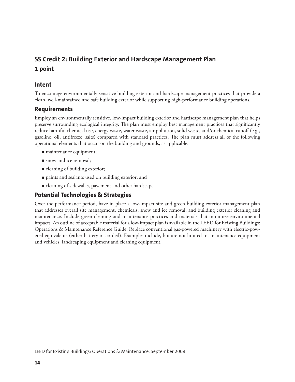## **SS Credit 2: Building Exterior and Hardscape Management Plan 1 point**

### **Intent**

To encourage environmentally sensitive building exterior and hardscape management practices that provide a clean, well-maintained and safe building exterior while supporting high-performance building operations.

### **Requirements**

Employ an environmentally sensitive, low-impact building exterior and hardscape management plan that helps preserve surrounding ecological integrity. The plan must employ best management practices that significantly reduce harmful chemical use, energy waste, water waste, air pollution, solid waste, and/or chemical runoff (e.g., gasoline, oil, antifreeze, salts) compared with standard practices. The plan must address all of the following operational elements that occur on the building and grounds, as applicable:

- maintenance equipment;
- snow and ice removal:
- cleaning of building exterior;
- § paints and sealants used on building exterior; and
- cleaning of sidewalks, pavement and other hardscape.

### **Potential Technologies & Strategies**

Over the performance period, have in place a low-impact site and green building exterior management plan that addresses overall site management, chemicals, snow and ice removal, and building exterior cleaning and maintenance. Include green cleaning and maintenance practices and materials that minimize environmental impacts. An outline of acceptable material for a low-impact plan is available in the LEED for Existing Buildings: Operations & Maintenance Reference Guide. Replace conventional gas-powered machinery with electric-powered equivalents (either battery or corded). Examples include, but are not limited to, maintenance equipment and vehicles, landscaping equipment and cleaning equipment.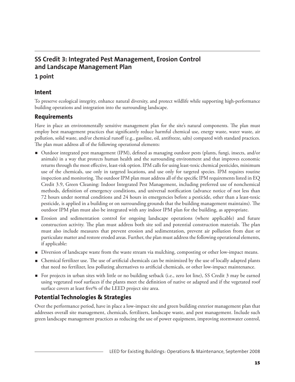## **SS Credit 3: Integrated Pest Management, Erosion Control and Landscape Management Plan**

### **1 point**

### **Intent**

To preserve ecological integrity, enhance natural diversity, and protect wildlife while supporting high-performance building operations and integration into the surrounding landscape.

### **Requirements**

Have in place an environmentally sensitive management plan for the site's natural components. The plan must employ best management practices that significantly reduce harmful chemical use, energy waste, water waste, air pollution, solid waste, and/or chemical runoff (e.g., gasoline, oil, antifreeze, salts) compared with standard practices. The plan must address all of the following operational elements:

- Outdoor integrated pest management (IPM), defined as managing outdoor pests (plants, fungi, insects, and/or animals) in a way that protects human health and the surrounding environment and that improves economic returns through the most effective, least-risk option. IPM calls for using least-toxic chemical pesticides, minimum use of the chemicals, use only in targeted locations, and use only for targeted species. IPM requires routine inspection and monitoring. The outdoor IPM plan must address all of the specific IPM requirements listed in EQ Credit 3.9, Green Cleaning: Indoor Integrated Pest Management, including preferred use of nonchemical methods, definition of emergency conditions, and universal notification (advance notice of not less than 72 hours under normal conditions and 24 hours in emergencies before a pesticide, other than a least-toxic pesticide, is applied in a building or on surrounding grounds that the building management maintains). The outdoor IPM plan must also be integrated with any indoor IPM plan for the building, as appropriate.
- Erosion and sedimentation control for ongoing landscape operations (where applicable) and future construction activity. The plan must address both site soil and potential construction materials. The plan must also include measures that prevent erosion and sedimentation, prevent air pollution from dust or particulate matter and restore eroded areas. Further, the plan must address the following operational elements, if applicable:
- Diversion of landscape waste from the waste stream via mulching, composting or other low-impact means.
- Chemical fertilizer use. The use of artificial chemicals can be minimized by the use of locally adapted plants that need no fertilizer, less polluting alternatives to artificial chemicals, or other low-impact maintenance.
- For projects in urban sites with little or no building setback (i.e., zero lot line), SS Credit 3 may be earned using vegetated roof surfaces if the plants meet the definition of native or adapted and if the vegetated roof surface covers at least five% of the LEED project site area.

## **Potential Technologies & Strategies**

Over the performance period, have in place a low-impact site and green building exterior management plan that addresses overall site management, chemicals, fertilizers, landscape waste, and pest management. Include such green landscape management practices as reducing the use of power equipment, improving stormwater control,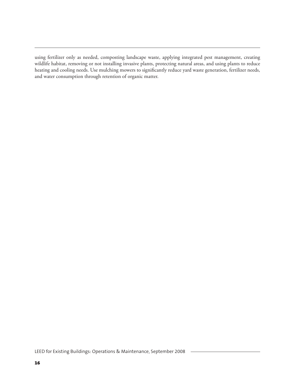using fertilizer only as needed, composting landscape waste, applying integrated pest management, creating wildlife habitat, removing or not installing invasive plants, protecting natural areas, and using plants to reduce heating and cooling needs. Use mulching mowers to significantly reduce yard waste generation, fertilizer needs, and water consumption through retention of organic matter.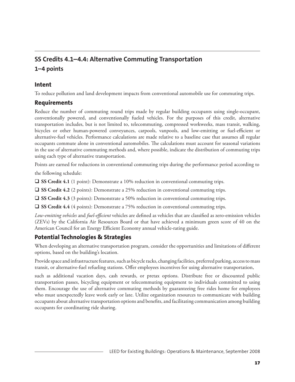## **SS Credits 4.1–4.4: Alternative Commuting Transportation 1–4 points**

### **Intent**

To reduce pollution and land development impacts from conventional automobile use for commuting trips.

### **Requirements**

Reduce the number of commuting round trips made by regular building occupants using single-occupant, conventionally powered, and conventionally fueled vehicles. For the purposes of this credit, alternative transportation includes, but is not limited to, telecommuting, compressed workweeks, mass transit, walking, bicycles or other human-powered conveyances, carpools, vanpools, and low-emitting or fuel-efficient or alternative-fuel vehicles. Performance calculations are made relative to a baseline case that assumes all regular occupants commute alone in conventional automobiles. The calculations must account for seasonal variations in the use of alternative commuting methods and, where possible, indicate the distribution of commuting trips using each type of alternative transportation.

Points are earned for reductions in conventional commuting trips during the performance period according to the following schedule:

 **SS Credit 4.1** (1 point): Demonstrate a 10% reduction in conventional commuting trips.

**SS Credit 4.2** (2 points): Demonstrate a 25% reduction in conventional commuting trips.

**SS Credit 4.3** (3 points): Demonstrate a 50% reduction in conventional commuting trips.

**SS Credit 4.4** (4 points): Demonstrate a 75% reduction in conventional commuting trips.

*Low-emitting vehicles* and *fuel-efficient* vehicles are defined as vehicles that are classified as zero-emission vehicles (ZEVs) by the California Air Resources Board or that have achieved a minimum green score of 40 on the American Council for an Energy Efficient Economy annual vehicle-rating guide.

### **Potential Technologies & Strategies**

When developing an alternative transportation program, consider the opportunities and limitations of different options, based on the building's location.

Provide space and infrastructure features, such as bicycle racks, changing facilities, preferred parking, access to mass transit, or alternative-fuel refueling stations. Offer employees incentives for using alternative transportation,

such as additional vacation days, cash rewards, or pretax options. Distribute free or discounted public transportation passes, bicycling equipment or telecommuting equipment to individuals committed to using them. Encourage the use of alternative commuting methods by guaranteeing free rides home for employees who must unexpectedly leave work early or late. Utilize organization resources to communicate with building occupants about alternative transportation options and benefits, and facilitating communication among building occupants for coordinating ride sharing.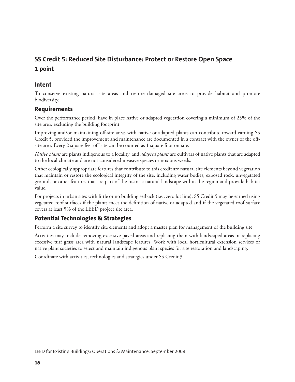## **SS Credit 5: Reduced Site Disturbance: Protect or Restore Open Space 1 point**

### **Intent**

To conserve existing natural site areas and restore damaged site areas to provide habitat and promote biodiversity.

### **Requirements**

Over the performance period, have in place native or adapted vegetation covering a minimum of 25% of the site area, excluding the building footprint.

Improving and/or maintaining off-site areas with native or adapted plants can contribute toward earning SS Credit 5, provided the improvement and maintenance are documented in a contract with the owner of the offsite area. Every 2 square feet off-site can be counted as 1 square foot on-site.

*Native plants* are plants indigenous to a locality, and *adapted plants* are cultivars of native plants that are adapted to the local climate and are not considered invasive species or noxious weeds.

Other ecologically appropriate features that contribute to this credit are natural site elements beyond vegetation that maintain or restore the ecological integrity of the site, including water bodies, exposed rock, unvegetated ground, or other features that are part of the historic natural landscape within the region and provide habitat value.

For projects in urban sites with little or no building setback (i.e., zero lot line), SS Credit 5 may be earned using vegetated roof surfaces if the plants meet the definition of native or adapted and if the vegetated roof surface covers at least 5% of the LEED project site area.

### **Potential Technologies & Strategies**

Perform a site survey to identify site elements and adopt a master plan for management of the building site.

Activities may include removing excessive paved areas and replacing them with landscaped areas or replacing excessive turf grass area with natural landscape features. Work with local horticultural extension services or native plant societies to select and maintain indigenous plant species for site restoration and landscaping.

Coordinate with activities, technologies and strategies under SS Credit 3.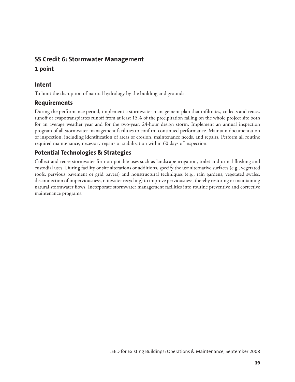## **SS Credit 6: Stormwater Management**

### **1 point**

### **Intent**

To limit the disruption of natural hydrology by the building and grounds.

### **Requirements**

During the performance period, implement a stormwater management plan that infiltrates, collects and reuses runoff or evapotranspirates runoff from at least 15% of the precipitation falling on the whole project site both for an average weather year and for the two-year, 24-hour design storm. Implement an annual inspection program of all stormwater management facilities to confirm continued performance. Maintain documentation of inspection, including identification of areas of erosion, maintenance needs, and repairs. Perform all routine required maintenance, necessary repairs or stabilization within 60 days of inspection.

## **Potential Technologies & Strategies**

Collect and reuse stormwater for non-potable uses such as landscape irrigation, toilet and urinal flushing and custodial uses. During facility or site alterations or additions, specify the use alternative surfaces (e.g., vegetated roofs, pervious pavement or grid pavers) and nonstructural techniques (e.g., rain gardens, vegetated swales, disconnection of imperviousness, rainwater recycling) to improve perviousness, thereby restoring or maintaining natural stormwater flows. Incorporate stormwater management facilities into routine preventive and corrective maintenance programs.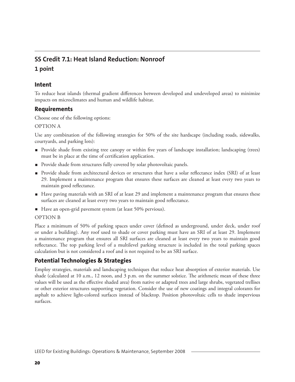## **SS Credit 7.1: Heat Island Reduction: Nonroof**

### **1 point**

### **Intent**

To reduce heat islands (thermal gradient differences between developed and undeveloped areas) to minimize impacts on microclimates and human and wildlife habitat.

### **Requirements**

Choose one of the following options:

### OPTION A

Use any combination of the following strategies for 50% of the site hardscape (including roads, sidewalks, courtyards, and parking lots):

- § Provide shade from existing tree canopy or within five years of landscape installation; landscaping (trees) must be in place at the time of certification application.
- Provide shade from structures fully covered by solar photovoltaic panels.
- § Provide shade from architectural devices or structures that have a solar reflectance index (SRI) of at least 29. Implement a maintenance program that ensures these surfaces are cleaned at least every two years to maintain good reflectance.
- Have paving materials with an SRI of at least 29 and implement a maintenance program that ensures these surfaces are cleaned at least every two years to maintain good reflectance.
- Have an open-grid pavement system (at least 50% pervious).

### OPTION B

Place a minimum of 50% of parking spaces under cover (defined as underground, under deck, under roof or under a building). Any roof used to shade or cover parking must have an SRI of at least 29. Implement a maintenance program that ensures all SRI surfaces are cleaned at least every two years to maintain good reflectance. The top parking level of a multilevel parking structure is included in the total parking spaces calculation but is not considered a roof and is not required to be an SRI surface.

### **Potential Technologies & Strategies**

Employ strategies, materials and landscaping techniques that reduce heat absorption of exterior materials. Use shade (calculated at 10 a.m., 12 noon, and 3 p.m. on the summer solstice. The arithmetic mean of these three values will be used as the effective shaded area) from native or adapted trees and large shrubs, vegetated trellises or other exterior structures supporting vegetation. Consider the use of new coatings and integral colorants for asphalt to achieve light-colored surfaces instead of blacktop. Position photovoltaic cells to shade impervious surfaces.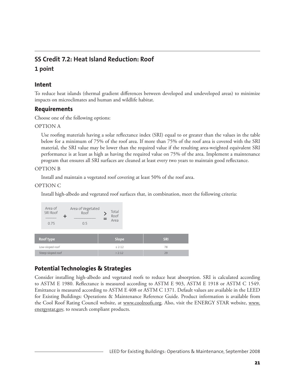## **SS Credit 7.2: Heat Island Reduction: Roof**

### **1 point**

### **Intent**

To reduce heat islands (thermal gradient differences between developed and undeveloped areas) to minimize impacts on microclimates and human and wildlife habitat.

### **Requirements**

Choose one of the following options:

### OPTION A

Use roofing materials having a solar reflectance index (SRI) equal to or greater than the values in the table below for a minimum of 75% of the roof area. If more than 75% of the roof area is covered with the SRI material, the SRI value may be lower than the required value if the resulting area-weighted equivalent SRI performance is at least as high as having the required value on 75% of the area. Implement a maintenance program that ensures all SRI surfaces are cleaned at least every two years to maintain good reflectance.

### OPTION B

Install and maintain a vegetated roof covering at least 50% of the roof area.

### OPTION C

Install high-albedo and vegetated roof surfaces that, in combination, meet the following criteria:

|                   | Area of<br>SRI Roof<br>┭<br>0.75 | Area of Vegetated<br>Roof<br>0.5 |  | Total<br>Roof<br>Area |  |  |
|-------------------|----------------------------------|----------------------------------|--|-----------------------|--|--|
| Roof type         |                                  | Slope                            |  | <b>SRI</b>            |  |  |
| Low-sloped roof   |                                  | $\leq$ 2:12                      |  | 78                    |  |  |
| Steep-sloped roof |                                  | > 2:12                           |  | 29                    |  |  |

## **Potential Technologies & Strategies**

Consider installing high-albedo and vegetated roofs to reduce heat absorption. SRI is calculated according to ASTM E 1980. Reflectance is measured according to ASTM E 903, ASTM E 1918 or ASTM C 1549. Emittance is measured according to ASTM E 408 or ASTM C 1371. Default values are available in the LEED for Existing Buildings: Operations & Maintenance Reference Guide. Product information is available from the Cool Roof Rating Council website, at <www.coolroofs.org>. Also, visit the ENERGY STAR website, [www.](www.energystar.gov) [energystar.gov,](www.energystar.gov) to research compliant products.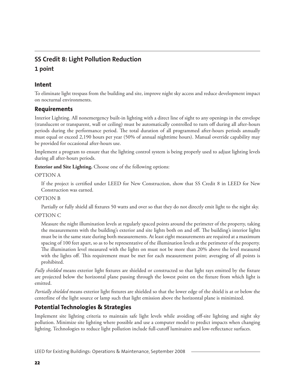## **SS Credit 8: Light Pollution Reduction**

### **1 point**

### **Intent**

To eliminate light trespass from the building and site, improve night sky access and reduce development impact on nocturnal environments.

### **Requirements**

Interior Lighting. All nonemergency built-in lighting with a direct line of sight to any openings in the envelope (translucent or transparent, wall or ceiling) must be automatically controlled to turn off during all after-hours periods during the performance period. The total duration of all programmed after-hours periods annually must equal or exceed 2,190 hours per year (50% of annual nighttime hours). Manual override capability may be provided for occasional after-hours use.

Implement a program to ensure that the lighting control system is being properly used to adjust lighting levels during all after-hours periods.

**Exterior and Site Lighting.** Choose one of the following options:

### OPTION A

If the project is certified under LEED for New Construction, show that SS Credit 8 in LEED for New Construction was earned.

### OPTION B

Partially or fully shield all fixtures 50 watts and over so that they do not directly emit light to the night sky.

### OPTION C

Measure the night illumination levels at regularly spaced points around the perimeter of the property, taking the measurements with the building's exterior and site lights both on and off. The building's interior lights must be in the same state during both measurements. At least eight measurements are required at a maximum spacing of 100 feet apart, so as to be representative of the illumination levels at the perimeter of the property. The illumination level measured with the lights on must not be more than 20% above the level measured with the lights off. This requirement must be met for each measurement point; averaging of all points is prohibited.

*Fully shielded* means exterior light fixtures are shielded or constructed so that light rays emitted by the fixture are projected below the horizontal plane passing through the lowest point on the fixture from which light is emitted.

*Partially shielded* means exterior light fixtures are shielded so that the lower edge of the shield is at or below the centerline of the light source or lamp such that light emission above the horizontal plane is minimized.

### **Potential Technologies & Strategies**

Implement site lighting criteria to maintain safe light levels while avoiding off-site lighting and night sky pollution. Minimize site lighting where possible and use a computer model to predict impacts when changing lighting. Technologies to reduce light pollution include full-cutoff luminaires and low-reflectance surfaces.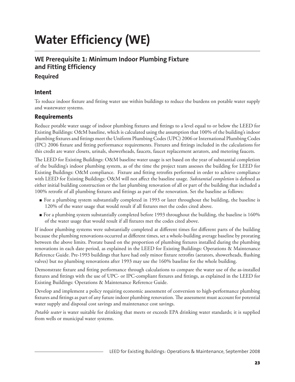# **Water Efficiency (WE)**

## **WE Prerequisite 1: Minimum Indoor Plumbing Fixture and Fitting Efficiency**

### **Required**

### **Intent**

To reduce indoor fixture and fitting water use within buildings to reduce the burdens on potable water supply and wastewater systems.

### **Requirements**

Reduce potable water usage of indoor plumbing fixtures and fittings to a level equal to or below the LEED for Existing Buildings: O&M baseline, which is calculated using the assumption that 100% of the building's indoor plumbing fixtures and fittings meet the Uniform Plumbing Codes (UPC) 2006 or International Plumbing Codes (IPC) 2006 fixture and fitting performance requirements. Fixtures and fittings included in the calculations for this credit are water closets, urinals, showerheads, faucets, faucet replacement aerators, and metering faucets.

The LEED for Existing Buildings: O&M baseline water usage is set based on the year of substantial completion of the building's indoor plumbing system, as of the time the project team assesses the building for LEED for Existing Buildings: O&M compliance. Fixture and fitting retrofits performed in order to achieve compliance with LEED for Existing Buildings: O&M will not affect the baseline usage. *Substantial completion* is defined as either initial building construction or the last plumbing renovation of all or part of the building that included a 100% retrofit of all plumbing fixtures and fittings as part of the renovation. Set the baseline as follows:

- § For a plumbing system substantially completed in 1993 or later throughout the building, the baseline is 120% of the water usage that would result if all fixtures met the codes cited above.
- § For a plumbing system substantially completed before 1993 throughout the building, the baseline is 160% of the water usage that would result if all fixtures met the codes cited above.

If indoor plumbing systems were substantially completed at different times for different parts of the building because the plumbing renovations occurred at different times, set a whole-building average baseline by prorating between the above limits. Prorate based on the proportion of plumbing fixtures installed during the plumbing renovations in each date period, as explained in the LEED for Existing Buildings: Operations & Maintenance Reference Guide. Pre-1993 buildings that have had only minor fixture retrofits (aerators, showerheads, flushing valves) but no plumbing renovations after 1993 may use the 160% baseline for the whole building.

Demonstrate fixture and fitting performance through calculations to compare the water use of the as-installed fixtures and fittings with the use of UPC- or IPC-compliant fixtures and fittings, as explained in the LEED for Existing Buildings: Operations & Maintenance Reference Guide.

Develop and implement a policy requiring economic assessment of conversion to high-performance plumbing fixtures and fittings as part of any future indoor plumbing renovation. The assessment must account for potential water supply and disposal cost savings and maintenance cost savings.

*Potable water* is water suitable for drinking that meets or exceeds EPA drinking water standards; it is supplied from wells or municipal water systems.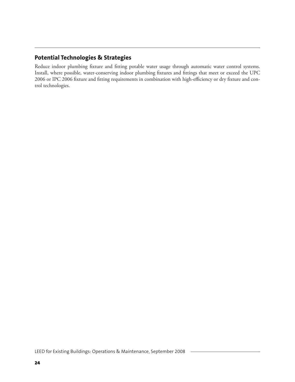## **Potential Technologies & Strategies**

Reduce indoor plumbing fixture and fitting potable water usage through automatic water control systems. Install, where possible, water-conserving indoor plumbing fixtures and fittings that meet or exceed the UPC 2006 or IPC 2006 fixture and fitting requirements in combination with high-efficiency or dry fixture and control technologies.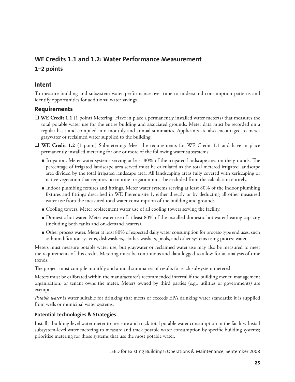## **WE Credits 1.1 and 1.2: Water Performance Measurement 1–2 points**

### **Intent**

To measure building and subsystem water performance over time to understand consumption patterns and identify opportunities for additional water savings.

### **Requirements**

- **WE Credit 1.1** (1 point) Metering: Have in place a permanently installed water meter(s) that measures the total potable water use for the entire building and associated grounds. Meter data must be recorded on a regular basis and compiled into monthly and annual summaries. Applicants are also encouraged to meter graywater or reclaimed water supplied to the building.
- **WE Credit 1.2** (1 point) Submetering: Meet the requirements for WE Credit 1.1 and have in place permanently installed metering for one or more of the following water subsystems:
	- Irrigation. Meter water systems serving at least 80% of the irrigated landscape area on the grounds. The percentage of irrigated landscape area served must be calculated as the total metered irrigated landscape area divided by the total irrigated landscape area. All landscaping areas fully covered with xeriscaping or native vegetation that requires no routine irrigation must be excluded from the calculation entirely.
	- Indoor plumbing fixtures and fittings. Meter water systems serving at least 80% of the indoor plumbing fixtures and fittings described in WE Prerequisite 1, either directly or by deducting all other measured water use from the measured total water consumption of the building and grounds.
	- Cooling towers. Meter replacement water use of all cooling towers serving the facility.
	- Domestic hot water. Meter water use of at least 80% of the installed domestic hot water heating capacity (including both tanks and on-demand heaters).
	- § Other process water. Meter at least 80% of expected daily water consumption for process-type end uses, such as humidification systems, dishwashers, clothes washers, pools, and other systems using process water.

Meters must measure potable water use, but graywater or reclaimed water use may also be measured to meet the requirements of this credit. Metering must be continuous and data-logged to allow for an analysis of time trends.

The project must compile monthly and annual summaries of results for each subsystem metered.

Meters must be calibrated within the manufacturer's recommended interval if the building owner, management organization, or tenant owns the meter. Meters owned by third parties (e.g., utilities or governments) are exempt.

*Potable water* is water suitable for drinking that meets or exceeds EPA drinking water standards; it is supplied from wells or municipal water systems.

### **Potential Technologies & Strategies**

Install a building-level water meter to measure and track total potable water consumption in the facility. Install subsystem-level water metering to measure and track potable water consumption by specific building systems; prioritize metering for those systems that use the most potable water.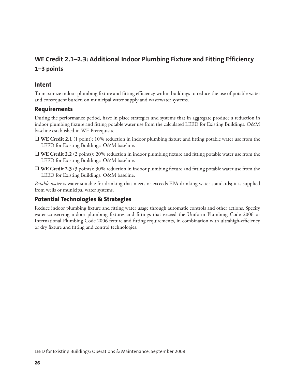## **WE Credit 2.1–2.3: Additional Indoor Plumbing Fixture and Fitting Efficiency 1–3 points**

### **Intent**

To maximize indoor plumbing fixture and fitting efficiency within buildings to reduce the use of potable water and consequent burden on municipal water supply and wastewater systems.

### **Requirements**

During the performance period, have in place strategies and systems that in aggregate produce a reduction in indoor plumbing fixture and fitting potable water use from the calculated LEED for Existing Buildings: O&M baseline established in WE Prerequisite 1.

- **WE Credit 2.1** (1 point): 10% reduction in indoor plumbing fixture and fitting potable water use from the LEED for Existing Buildings: O&M baseline.
- **WE Credit 2.2** (2 points): 20% reduction in indoor plumbing fixture and fitting potable water use from the LEED for Existing Buildings: O&M baseline.
- **WE Credit 2.3** (3 points): 30% reduction in indoor plumbing fixture and fitting potable water use from the LEED for Existing Buildings: O&M baseline.

*Potable water* is water suitable for drinking that meets or exceeds EPA drinking water standards; it is supplied from wells or municipal water systems.

### **Potential Technologies & Strategies**

Reduce indoor plumbing fixture and fitting water usage through automatic controls and other actions. Specify water-conserving indoor plumbing fixtures and fittings that exceed the Uniform Plumbing Code 2006 or International Plumbing Code 2006 fixture and fitting requirements, in combination with ultrahigh-efficiency or dry fixture and fitting and control technologies.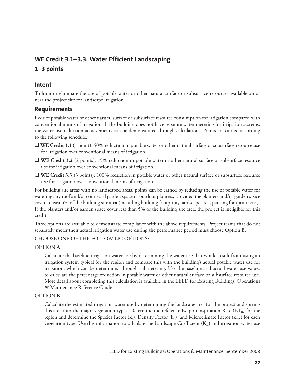## **WE Credit 3.1–3.3: Water Efficient Landscaping 1–3 points**

### **Intent**

To limit or eliminate the use of potable water or other natural surface or subsurface resources available on or near the project site for landscape irrigation.

### **Requirements**

Reduce potable water or other natural surface or subsurface resource consumption for irrigation compared with conventional means of irrigation. If the building does not have separate water metering for irrigation systems, the water-use reduction achievements can be demonstrated through calculations. Points are earned according to the following schedule:

- **WE Credit 3.1** (1 point): 50% reduction in potable water or other natural surface or subsurface resource use for irrigation over conventional means of irrigation.
- **WE Credit 3.2** (2 points): 75% reduction in potable water or other natural surface or subsurface resource use for irrigation over conventional means of irrigation.
- **WE Credit 3.3** (3 points): 100% reduction in potable water or other natural surface or subsurface resource use for irrigation over conventional means of irrigation.

For building site areas with no landscaped areas, points can be earned by reducing the use of potable water for watering any roof and/or courtyard garden space or outdoor planters, provided the planters and/or garden space cover at least 5% of the building site area (including building footprint, hardscape area, parking footprint, etc.). If the planters and/or garden space cover less than 5% of the building site area, the project is ineligible for this credit.

Three options are available to demonstrate compliance with the above requirements. Project teams that do not separately meter their actual irrigation water use during the performance period must choose Option B.

### CHOOSE ONE OF THE FOLLOWING OPTIONS:

### OPTION A

Calculate the baseline irrigation water use by determining the water use that would result from using an irrigation system typical for the region and compare this with the building's actual potable water use for irrigation, which can be determined through submetering. Use the baseline and actual water use values to calculate the percentage reduction in potable water or other natural surface or subsurface resource use. More detail about completing this calculation is available in the LEED for Existing Buildings: Operations & Maintenance Reference Guide.

### OPTION B

Calculate the estimated irrigation water use by determining the landscape area for the project and sorting this area into the major vegetation types. Determine the reference Evapotranspiration Rate  $(ET_0)$  for the region and determine the Species Factor  $(k_s)$ , Density Factor  $(k_d)$ , and Microclimate Factor  $(k_{mc})$  for each vegetation type. Use this information to calculate the Landscape Coefficient (KL) and irrigation water use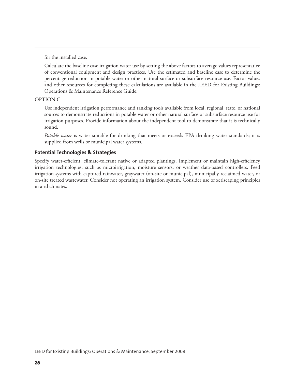for the installed case.

Calculate the baseline case irrigation water use by setting the above factors to average values representative of conventional equipment and design practices. Use the estimated and baseline case to determine the percentage reduction in potable water or other natural surface or subsurface resource use. Factor values and other resources for completing these calculations are available in the LEED for Existing Buildings: Operations & Maintenance Reference Guide.

### OPTION C

Use independent irrigation performance and ranking tools available from local, regional, state, or national sources to demonstrate reductions in potable water or other natural surface or subsurface resource use for irrigation purposes. Provide information about the independent tool to demonstrate that it is technically sound.

*Potable water* is water suitable for drinking that meets or exceeds EPA drinking water standards; it is supplied from wells or municipal water systems.

### **Potential Technologies & Strategies**

Specify water-efficient, climate-tolerant native or adapted plantings. Implement or maintain high-efficiency irrigation technologies, such as microirrigation, moisture sensors, or weather data-based controllers. Feed irrigation systems with captured rainwater, graywater (on-site or municipal), municipally reclaimed water, or on-site treated wastewater. Consider not operating an irrigation system. Consider use of xeriscaping principles in arid climates.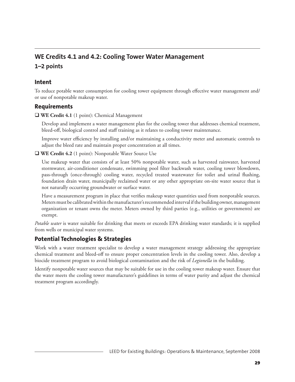## **WE Credits 4.1 and 4.2: Cooling Tower Water Management**

## **1–2 points**

### **Intent**

To reduce potable water consumption for cooling tower equipment through effective water management and/ or use of nonpotable makeup water.

### **Requirements**

**WE Credit 4.1** (1 point): Chemical Management

Develop and implement a water management plan for the cooling tower that addresses chemical treatment, bleed-off, biological control and staff training as it relates to cooling tower maintenance.

Improve water efficiency by installing and/or maintaining a conductivity meter and automatic controls to adjust the bleed rate and maintain proper concentration at all times.

**WE Credit 4.2** (1 point): Nonpotable Water Source Use

Use makeup water that consists of at least 50% nonpotable water, such as harvested rainwater, harvested stormwater, air-conditioner condensate, swimming pool filter backwash water, cooling tower blowdown, pass-through (once-through) cooling water, recycled treated wastewater for toilet and urinal flushing, foundation drain water, municipally reclaimed water or any other appropriate on-site water source that is not naturally occurring groundwater or surface water.

Have a measurement program in place that verifies makeup water quantities used from nonpotable sources. Meters must be calibrated within the manufacturer's recommended interval if the building owner, management organization or tenant owns the meter. Meters owned by third parties (e.g., utilities or governments) are exempt.

*Potable water* is water suitable for drinking that meets or exceeds EPA drinking water standards; it is supplied from wells or municipal water systems.

## **Potential Technologies & Strategies**

Work with a water treatment specialist to develop a water management strategy addressing the appropriate chemical treatment and bleed-off to ensure proper concentration levels in the cooling tower. Also, develop a biocide treatment program to avoid biological contamination and the risk of *Legionella* in the building.

Identify nonpotable water sources that may be suitable for use in the cooling tower makeup water. Ensure that the water meets the cooling tower manufacturer's guidelines in terms of water purity and adjust the chemical treatment program accordingly.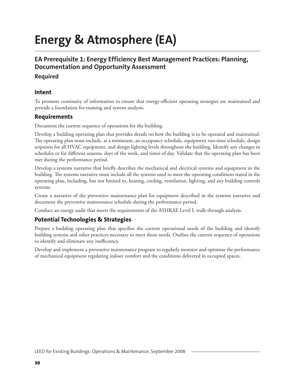## **Energy & Atmosphere (EA)**

### **EA Prerequisite 1: Energy Efficiency Best Management Practices: Planning, Documentation and Opportunity Assessment**

### **Required**

### **Intent**

To promote continuity of information to ensure that energy-efficient operating strategies are maintained and provide a foundation for training and system analysis.

### **Requirements**

Document the current sequence of operations for the building.

Develop a building operating plan that provides details on how the building is to be operated and maintained. The operating plan must include, at a minimum, an occupancy schedule, equipment run-time schedule, design setpoints for all HVAC equipment, and design lighting levels throughout the building. Identify any changes in schedules or for different seasons, days of the week, and times of day. Validate that the operating plan has been met during the performance period.

Develop a systems narrative that briefly describes the mechanical and electrical systems and equipment in the building. The systems narrative must include all the systems used to meet the operating conditions stated in the operating plan, including, but not limited to, heating, cooling, ventilation, lighting, and any building controls systems.

Create a narrative of the preventive maintenance plan for equipment described in the systems narrative and document the preventive maintenance schedule during the performance period.

Conduct an energy audit that meets the requirements of the ASHRAE Level I, walk-through analysis.

### **Potential Technologies & Strategies**

Prepare a building operating plan that specifies the current operational needs of the building and identify building systems and other practices necessary to meet those needs. Outline the current sequence of operations to identify and eliminate any inefficiency.

Develop and implement a preventive maintenance program to regularly monitor and optimize the performance of mechanical equipment regulating indoor comfort and the conditions delivered in occupied spaces.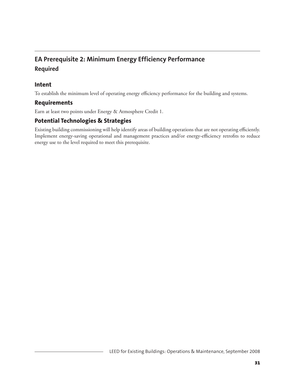## **EA Prerequisite 2: Minimum Energy Efficiency Performance Required**

### **Intent**

To establish the minimum level of operating energy efficiency performance for the building and systems.

### **Requirements**

Earn at least two points under Energy & Atmosphere Credit 1.

### **Potential Technologies & Strategies**

Existing building commissioning will help identify areas of building operations that are not operating efficiently. Implement energy-saving operational and management practices and/or energy-efficiency retrofits to reduce energy use to the level required to meet this prerequisite.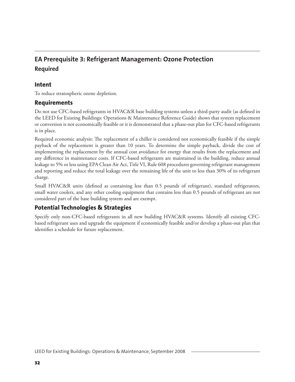## **EA Prerequisite 3: Refrigerant Management: Ozone Protection Required**

### **Intent**

To reduce stratospheric ozone depletion.

### **Requirements**

Do not use CFC-based refrigerants in HVAC&R base building systems unless a third-party audit (as defined in the LEED for Existing Buildings: Operations & Maintenance Reference Guide) shows that system replacement or conversion is not economically feasible or it is demonstrated that a phase-out plan for CFC-based refrigerants is in place.

Required economic analysis: The replacement of a chiller is considered not economically feasible if the simple payback of the replacement is greater than 10 years. To determine the simple payback, divide the cost of implementing the replacement by the annual cost avoidance for energy that results from the replacement and any difference in maintenance costs. If CFC-based refrigerants are maintained in the building, reduce annual leakage to 5% or less using EPA Clean Air Act, Title VI, Rule 608 procedures governing refrigerant management and reporting and reduce the total leakage over the remaining life of the unit to less than 30% of its refrigerant charge.

Small HVAC&R units (defined as containing less than 0.5 pounds of refrigerant), standard refrigerators, small water coolers, and any other cooling equipment that contains less than 0.5 pounds of refrigerant are not considered part of the base building system and are exempt.

### **Potential Technologies & Strategies**

Specify only non-CFC-based refrigerants in all new building HVAC&R systems. Identify all existing CFCbased refrigerant uses and upgrade the equipment if economically feasible and/or develop a phase-out plan that identifies a schedule for future replacement.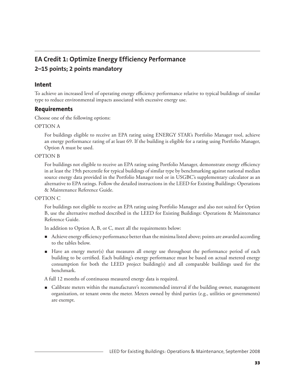## **EA Credit 1: Optimize Energy Efficiency Performance 2–15 points; 2 points mandatory**

### **Intent**

To achieve an increased level of operating energy efficiency performance relative to typical buildings of similar type to reduce environmental impacts associated with excessive energy use.

### **Requirements**

Choose one of the following options:

### OPTION A

For buildings eligible to receive an EPA rating using ENERGY STAR's Portfolio Manager tool, achieve an energy performance rating of at least 69. If the building is eligible for a rating using Portfolio Manager, Option A must be used.

### OPTION B

For buildings not eligible to receive an EPA rating using Portfolio Manager, demonstrate energy efficiency in at least the 19th percentile for typical buildings of similar type by benchmarking against national median source energy data provided in the Portfolio Manager tool or in USGBC's supplementary calculator as an alternative to EPA ratings. Follow the detailed instructions in the LEED for Existing Buildings: Operations & Maintenance Reference Guide.

### OPTION C

For buildings not eligible to receive an EPA rating using Portfolio Manager and also not suited for Option B, use the alternative method described in the LEED for Existing Buildings: Operations & Maintenance Reference Guide.

In addition to Option A, B, or C, meet all the requirements below:

- § Achieve energy efficiency performance better than the minima listed above; points are awarded according to the tables below.
- Have an energy meter(s) that measures all energy use throughout the performance period of each building to be certified. Each building's energy performance must be based on actual metered energy consumption for both the LEED project building(s) and all comparable buildings used for the benchmark.

A full 12 months of continuous measured energy data is required.

■ Calibrate meters within the manufacturer's recommended interval if the building owner, management organization, or tenant owns the meter. Meters owned by third parties (e.g., utilities or governments) are exempt.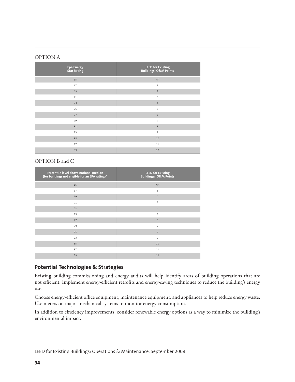#### OPTION A

| Epa Energy<br>Star Rating | LEED for Existing<br>Buildings: O&M Points |
|---------------------------|--------------------------------------------|
| 65                        | $\sf{NA}$                                  |
| 67                        | $1\,$                                      |
| 69                        | $\sqrt{2}$                                 |
| 71                        | $\mathbf{3}$                               |
| 73                        | $\sqrt{4}$                                 |
| 75                        | 5                                          |
| 77                        | 6                                          |
| 79                        | $\overline{7}$                             |
| 81                        | $\,$ 8 $\,$                                |
| 83                        | $\mathsf 9$                                |
| 85                        | $10$                                       |
| 87                        | $11\,$                                     |
| 89                        | 12                                         |

#### OPTION B and C

| Percentile level above national median<br>(for buildings not eligible for an EPA rating)* | <b>LEED for Existing</b><br>Buildings: O&M Points |
|-------------------------------------------------------------------------------------------|---------------------------------------------------|
| 15                                                                                        | <b>NA</b>                                         |
| 17                                                                                        | $\mathbf{1}$                                      |
| 19                                                                                        | $\overline{2}$                                    |
| 21                                                                                        | 3                                                 |
| 23                                                                                        | $\overline{4}$                                    |
| 25                                                                                        | 5                                                 |
| 27                                                                                        | 6                                                 |
| 29                                                                                        | $\overline{7}$                                    |
| 31                                                                                        | 8                                                 |
| 33                                                                                        | $\overline{9}$                                    |
| 35                                                                                        | 10                                                |
| 37                                                                                        | 11                                                |
| 39                                                                                        | 12                                                |

### **Potential Technologies & Strategies** )/

Existing building commissioning and energy audits will help identify areas of building operations that are not efficient. Implement energy-efficient retrofits and energy-saving techniques to reduce the building's energy use.

Choose energy-efficient office equipment, maintenance equipment, and appliances to help reduce energy waste. Use meters on major mechanical systems to monitor energy consumption.

In addition to efficiency improvements, consider renewable energy options as a way to minimize the building's environmental impact.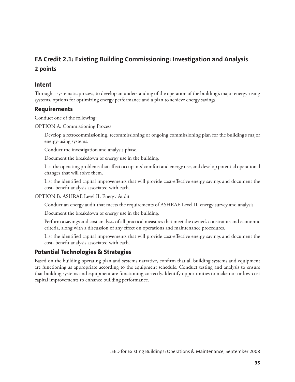## **EA Credit 2.1: Existing Building Commissioning: Investigation and Analysis 2 points**

### **Intent**

Through a systematic process, to develop an understanding of the operation of the building's major energy-using systems, options for optimizing energy performance and a plan to achieve energy savings.

### **Requirements**

Conduct one of the following:

OPTION A: Commissioning Process

Develop a retrocommissioning, recommissioning or ongoing commissioning plan for the building's major energy-using systems.

Conduct the investigation and analysis phase.

Document the breakdown of energy use in the building.

List the operating problems that affect occupants' comfort and energy use, and develop potential operational changes that will solve them.

List the identified capital improvements that will provide cost-effective energy savings and document the cost- benefit analysis associated with each.

OPTION B: ASHRAE Level II, Energy Audit

Conduct an energy audit that meets the requirements of ASHRAE Level II, energy survey and analysis.

Document the breakdown of energy use in the building.

Perform a savings and cost analysis of all practical measures that meet the owner's constraints and economic criteria, along with a discussion of any effect on operations and maintenance procedures.

List the identified capital improvements that will provide cost-effective energy savings and document the cost- benefit analysis associated with each.

### **Potential Technologies & Strategies**

Based on the building operating plan and systems narrative, confirm that all building systems and equipment are functioning as appropriate according to the equipment schedule. Conduct testing and analysis to ensure that building systems and equipment are functioning correctly. Identify opportunities to make no- or low-cost capital improvements to enhance building performance.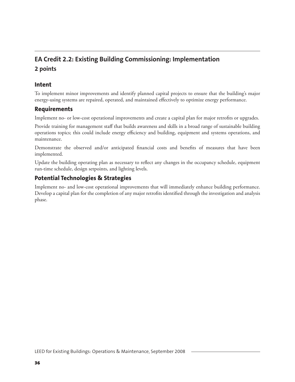## **EA Credit 2.2: Existing Building Commissioning: Implementation 2 points**

### **Intent**

To implement minor improvements and identify planned capital projects to ensure that the building's major energy-using systems are repaired, operated, and maintained effectively to optimize energy performance.

### **Requirements**

Implement no- or low-cost operational improvements and create a capital plan for major retrofits or upgrades.

Provide training for management staff that builds awareness and skills in a broad range of sustainable building operations topics; this could include energy efficiency and building, equipment and systems operations, and maintenance.

Demonstrate the observed and/or anticipated financial costs and benefits of measures that have been implemented.

Update the building operating plan as necessary to reflect any changes in the occupancy schedule, equipment run-time schedule, design setpoints, and lighting levels.

### **Potential Technologies & Strategies**

Implement no- and low-cost operational improvements that will immediately enhance building performance. Develop a capital plan for the completion of any major retrofits identified through the investigation and analysis phase.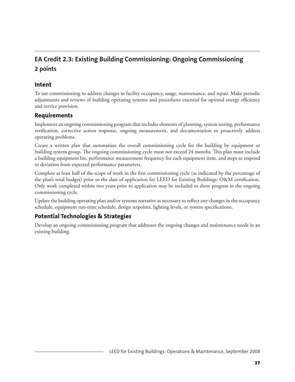## **EA Credit 2.3: Existing Building Commissioning: Ongoing Commissioning 2 points**

#### **Intent**

To use commissioning to address changes in facility occupancy, usage, maintenance, and repair. Make periodic adjustments and reviews of building operating systems and procedures essential for optimal energy efficiency and service provision.

#### **Requirements**

Implement an ongoing commissioning program that includes elements of planning, system testing, performance verification, corrective action response, ongoing measurement, and documentation to proactively address operating problems.

Create a written plan that summarizes the overall commissioning cycle for the building by equipment or building system group. The ongoing commissioning cycle must not exceed 24 months. This plan must include a building equipment list, performance measurement frequency for each equipment item, and steps to respond to deviation from expected performance parameters.

Complete at least half of the scope of work in the first commissioning cycle (as indicated by the percentage of the plan's total budget) prior to the date of application for LEED for Existing Buildings: O&M certification. Only work completed within two years prior to application may be included to show progress in the ongoing commissioning cycle.

Update the building operating plan and/or systems narrative as necessary to reflect any changes in the occupancy schedule, equipment run-time schedule, design setpoints, lighting levels, or system specifications.

## **Potential Technologies & Strategies**

Develop an ongoing commissioning program that addresses the ongoing changes and maintenance needs in an existing building.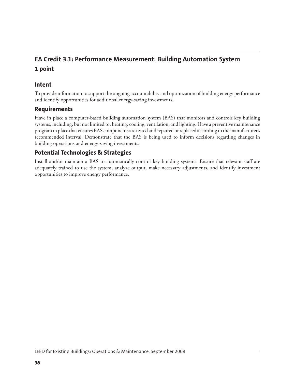## **EA Credit 3.1: Performance Measurement: Building Automation System 1 point**

#### **Intent**

To provide information to support the ongoing accountability and optimization of building energy performance and identify opportunities for additional energy-saving investments.

#### **Requirements**

Have in place a computer-based building automation system (BAS) that monitors and controls key building systems, including, but not limited to, heating, cooling, ventilation, and lighting. Have a preventive maintenance program in place that ensures BAS components are tested and repaired or replaced according to the manufacturer's recommended interval. Demonstrate that the BAS is being used to inform decisions regarding changes in building operations and energy-saving investments.

## **Potential Technologies & Strategies**

Install and/or maintain a BAS to automatically control key building systems. Ensure that relevant staff are adequately trained to use the system, analyze output, make necessary adjustments, and identify investment opportunities to improve energy performance.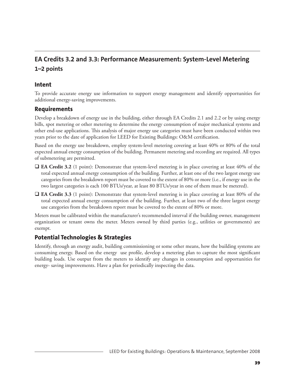## **EA Credits 3.2 and 3.3: Performance Measurement: System-Level Metering 1–2 points**

#### **Intent**

To provide accurate energy use information to support energy management and identify opportunities for additional energy-saving improvements.

#### **Requirements**

Develop a breakdown of energy use in the building, either through EA Credits 2.1 and 2.2 or by using energy bills, spot metering or other metering to determine the energy consumption of major mechanical systems and other end-use applications. This analysis of major energy use categories must have been conducted within two years prior to the date of application for LEED for Existing Buildings: O&M certification.

Based on the energy use breakdown, employ system-level metering covering at least 40% or 80% of the total expected annual energy consumption of the building. Permanent metering and recording are required. All types of submetering are permitted.

- **EA Credit 3.2** (1 point): Demonstrate that system-level metering is in place covering at least 40% of the total expected annual energy consumption of the building. Further, at least one of the two largest energy use categories from the breakdown report must be covered to the extent of 80% or more (i.e., if energy use in the two largest categories is each 100 BTUs/year, at least 80 BTUs/year in one of them must be metered).
- **EA Credit 3.3** (1 point): Demonstrate that system-level metering is in place covering at least 80% of the total expected annual energy consumption of the building. Further, at least two of the three largest energy use categories from the breakdown report must be covered to the extent of 80% or more.

Meters must be calibrated within the manufacturer's recommended interval if the building owner, management organization or tenant owns the meter. Meters owned by third parties (e.g., utilities or governments) are exempt.

## **Potential Technologies & Strategies**

Identify, through an energy audit, building commissioning or some other means, how the building systems are consuming energy. Based on the energy use profile, develop a metering plan to capture the most significant building loads. Use output from the meters to identify any changes in consumption and opportunities for energy- saving improvements. Have a plan for periodically inspecting the data.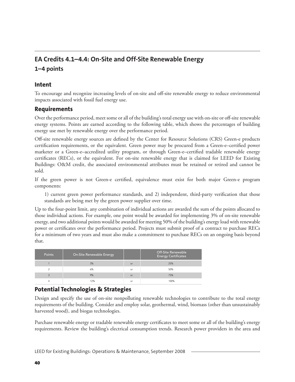## **EA Credits 4.1–4.4: On-Site and Off-Site Renewable Energy 1–4 points**

#### **Intent**

To encourage and recognize increasing levels of on-site and off-site renewable energy to reduce environmental impacts associated with fossil fuel energy use.

#### **Requirements**

Over the performance period, meet some or all of the building's total energy use with on-site or off-site renewable energy systems. Points are earned according to the following table, which shows the percentages of building energy use met by renewable energy over the performance period.

Off-site renewable energy sources are defined by the Center for Resource Solutions (CRS) Green-e products certification requirements, or the equivalent. Green power may be procured from a Green-e–certified power marketer or a Green-e–accredited utility program, or through Green-e–certified tradable renewable energy certificates (RECs), or the equivalent. For on-site renewable energy that is claimed for LEED for Existing Buildings: O&M credit, the associated environmental attributes must be retained or retired and cannot be sold.

If the green power is not Green-e certified, equivalence must exist for both major Green-e program components:

1) current green power performance standards, and 2) independent, third-party verification that those standards are being met by the green power supplier over time.

Up to the four-point limit, any combination of individual actions are awarded the sum of the points allocated to those individual actions. For example, one point would be awarded for implementing 3% of on-site renewable energy, and two additional points would be awarded for meeting 50% of the building's energy load with renewable power or certificates over the performance period. Projects must submit proof of a contract to purchase RECs for a minimum of two years and must also make a commitment to purchase RECs on an ongoing basis beyond that.

| Points | On-Site Renewable Energy |    | Off-Site Renewable<br><b>Energy Certificates</b> |
|--------|--------------------------|----|--------------------------------------------------|
|        | 3%                       | or | 25%                                              |
| c      | 6%                       | or | 50%                                              |
| 3      | 9%                       | or | 75%                                              |
| 4      | 12%                      | or | 100%                                             |

## **Potential Technologies & Strategies**

Design and specify the use of on-site nonpolluting renewable technologies to contribute to the total energy requirements of the building. Consider and employ solar, geothermal, wind, biomass (other than unsustainably harvested wood), and biogas technologies.

Purchase renewable energy or tradable renewable energy certificates to meet some or all of the building's energy requirements. Review the building's electrical consumption trends. Research power providers in the area and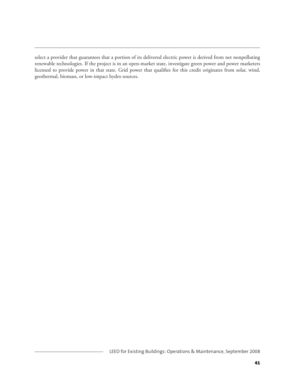select a provider that guarantees that a portion of its delivered electric power is derived from net nonpolluting renewable technologies. If the project is in an open-market state, investigate green power and power marketers licensed to provide power in that state. Grid power that qualifies for this credit originates from solar, wind, geothermal, biomass, or low-impact hydro sources.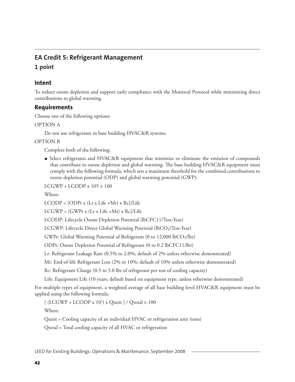## **EA Credit 5: Refrigerant Management**

#### **1 point**

#### **Intent**

To reduce ozone depletion and support early compliance with the Montreal Protocol while minimizing direct contributions to global warming.

#### **Requirements**

Choose one of the following options:

#### OPTION A

Do not use refrigerants in base building HVAC&R systems.

#### OPTION B

Complete both of the following:

■ Select refrigerants and HVAC&R equipment that minimize or eliminate the emission of compounds that contribute to ozone depletion and global warming. The base building HVAC&R equipment must comply with the following formula, which sets a maximum threshold for the combined contributions to ozone depletion potential (ODP) and global warming potential (GWP):

 $LCGWP + LCODE x 105 \leq 100$ 

Where:

 $LCDDP = [ODPr x (Lr x Life + Mr) x Rc]/Life$ 

 $LCGWP = [GWPr x (Lr x Life + Mr) x Rc]/Life$ 

LCODP: Lifecycle Ozone Depletion Potential (lbCFC11/Ton-Year)

LCGWP: Lifecycle Direct Global Warming Potential (lbCO2/Ton-Year)

GWPr: Global Warming Potential of Refrigerant (0 to  $12,000$  lbCO<sub>2</sub>/lbr)

ODPr: Ozone Depletion Potential of Refrigerant (0 to 0.2 lbCFC11/lbr)

Lr: Refrigerant Leakage Rate (0.5% to 2.0%; default of 2% unless otherwise demonstrated)

Mr: End-of-life Refrigerant Loss (2% to 10%; default of 10% unless otherwise demonstrated)

Rc: Refrigerant Charge (0.5 to 5.0 lbs of refrigerant per ton of cooling capacity)

Life: Equipment Life (10 years; default based on equipment type, unless otherwise demonstrated)

For multiple types of equipment, a weighted average of all base building level HVAC&R equipment must be applied using the following formula:

[ (LCGWP + LCODP x 10<sup>5</sup>) x Qunit ] / Qtotal ≤ 100

Where:

Qunit = Cooling capacity of an individual HVAC or refrigeration unit (tons)

Qtotal = Total cooling capacity of all HVAC or refrigeration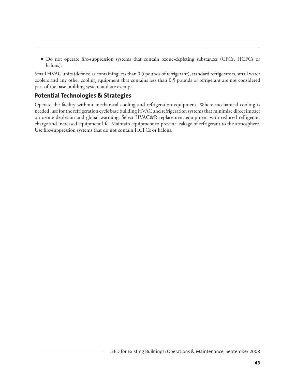■ Do not operate fire-suppression systems that contain ozone-depleting substances (CFCs, HCFCs or halons).

Small HVAC units (defined as containing less than 0.5 pounds of refrigerant), standard refrigerators, small water coolers and any other cooling equipment that contains less than 0.5 pounds of refrigerant are not considered part of the base building system and are exempt.

## **Potential Technologies & Strategies**

Operate the facility without mechanical cooling and refrigeration equipment. Where mechanical cooling is needed, use for the refrigeration cycle base building HVAC and refrigeration systems that minimize direct impact on ozone depletion and global warming. Select HVAC&R replacement equipment with reduced refrigerant charge and increased equipment life. Maintain equipment to prevent leakage of refrigerant to the atmosphere. Use fire-suppression systems that do not contain HCFCs or halons.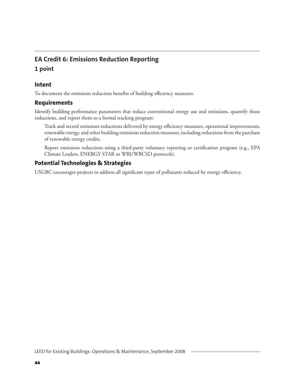## **EA Credit 6: Emissions Reduction Reporting**

#### **1 point**

#### **Intent**

To document the emissions reduction benefits of building efficiency measures.

#### **Requirements**

Identify building performance parameters that reduce conventional energy use and emissions, quantify those reductions, and report them to a formal tracking program:

Track and record emissions reductions delivered by energy efficiency measures, operational improvements, renewable energy, and other building emissions reduction measures, including reductions from the purchase of renewable energy credits.

Report emissions reductions using a third-party voluntary reporting or certification program (e.g., EPA Climate Leaders, ENERGY STAR or WRI/WBCSD protocols).

## **Potential Technologies & Strategies**

USGBC encourages projects to address all significant types of pollutants reduced by energy efficiency.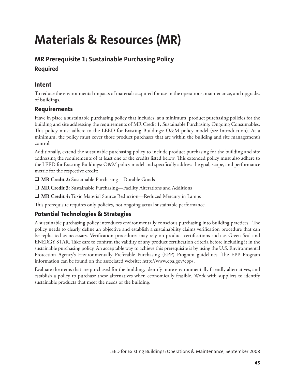# **Materials & Resources (MR)**

# **MR Prerequisite 1: Sustainable Purchasing Policy**

## **Required**

## **Intent**

To reduce the environmental impacts of materials acquired for use in the operations, maintenance, and upgrades of buildings.

## **Requirements**

Have in place a sustainable purchasing policy that includes, at a minimum, product purchasing policies for the building and site addressing the requirements of MR Credit 1, Sustainable Purchasing: Ongoing Consumables. This policy must adhere to the LEED for Existing Buildings: O&M policy model (see Introduction). At a minimum, the policy must cover those product purchases that are within the building and site management's control.

Additionally, extend the sustainable purchasing policy to include product purchasing for the building and site addressing the requirements of at least one of the credits listed below. This extended policy must also adhere to the LEED for Existing Buildings: O&M policy model and specifically address the goal, scope, and performance metric for the respective credit:

**MR Credit 2:** Sustainable Purchasing—Durable Goods

■ MR Credit 3: Sustainable Purchasing—Facility Alterations and Additions

**MR Credit 4:** Toxic Material Source Reduction—Reduced Mercury in Lamps

This prerequisite requires only policies, not ongoing actual sustainable performance.

## **Potential Technologies & Strategies**

A sustainable purchasing policy introduces environmentally conscious purchasing into building practices. The policy needs to clearly define an objective and establish a sustainability claims verification procedure that can be replicated as necessary. Verification procedures may rely on product certifications such as Green Seal and ENERGY STAR. Take care to confirm the validity of any product certification criteria before including it in the sustainable purchasing policy. An acceptable way to achieve this prerequisite is by using the U.S. Environmental Protection Agency's Environmentally Preferable Purchasing (EPP) Program guidelines. The EPP Program information can be found on the associated website: [http://www.epa.gov/epp/.](http://www.epa.gov/epp/)

Evaluate the items that are purchased for the building, identify more environmentally friendly alternatives, and establish a policy to purchase these alternatives when economically feasible. Work with suppliers to identify sustainable products that meet the needs of the building.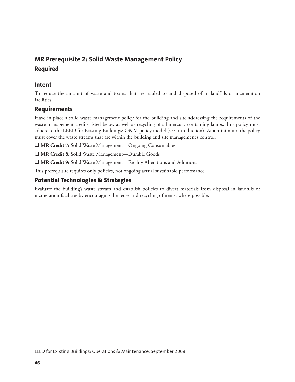## **MR Prerequisite 2: Solid Waste Management Policy Required**

#### **Intent**

To reduce the amount of waste and toxins that are hauled to and disposed of in landfills or incineration facilities.

#### **Requirements**

Have in place a solid waste management policy for the building and site addressing the requirements of the waste management credits listed below as well as recycling of all mercury-containing lamps. This policy must adhere to the LEED for Existing Buildings: O&M policy model (see Introduction). At a minimum, the policy must cover the waste streams that are within the building and site management's control.

**MR Credit 7:** Solid Waste Management—Ongoing Consumables

**MR Credit 8:** Solid Waste Management—Durable Goods

■ **MR Credit 9:** Solid Waste Management—Facility Alterations and Additions

This prerequisite requires only policies, not ongoing actual sustainable performance.

## **Potential Technologies & Strategies**

Evaluate the building's waste stream and establish policies to divert materials from disposal in landfills or incineration facilities by encouraging the reuse and recycling of items, where possible.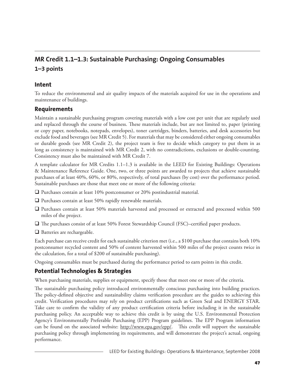## **MR Credit 1.1–1.3: Sustainable Purchasing: Ongoing Consumables 1–3 points**

#### **Intent**

To reduce the environmental and air quality impacts of the materials acquired for use in the operations and maintenance of buildings.

#### **Requirements**

Maintain a sustainable purchasing program covering materials with a low cost per unit that are regularly used and replaced through the course of business. These materials include, but are not limited to, paper (printing or copy paper, notebooks, notepads, envelopes), toner cartridges, binders, batteries, and desk accessories but exclude food and beverages (see MR Credit 5). For materials that may be considered either ongoing consumables or durable goods (see MR Credit 2), the project team is free to decide which category to put them in as long as consistency is maintained with MR Credit 2, with no contradictions, exclusions or double-counting. Consistency must also be maintained with MR Credit 7.

A template calculator for MR Credits 1.1–1.3 is available in the LEED for Existing Buildings: Operations & Maintenance Reference Guide. One, two, or three points are awarded to projects that achieve sustainable purchases of at least 40%, 60%, or 80%, respectively, of total purchases (by cost) over the performance period. Sustainable purchases are those that meet one or more of the following criteria:

- $\Box$  Purchases contain at least 10% postconsumer or 20% postindustrial material.
- $\Box$  Purchases contain at least 50% rapidly renewable materials.
- Purchases contain at least 50% materials harvested and processed or extracted and processed within 500 miles of the project.
- □ The purchases consist of at least 50% Forest Stewardship Council (FSC)–certified paper products.
- □ Batteries are rechargeable.

Each purchase can receive credit for each sustainable criterion met (i.e., a \$100 purchase that contains both 10% postconsumer recycled content and 50% of content harvested within 500 miles of the project counts twice in the calculation, for a total of \$200 of sustainable purchasing).

Ongoing consumables must be purchased during the performance period to earn points in this credit.

## **Potential Technologies & Strategies**

When purchasing materials, supplies or equipment, specify those that meet one or more of the criteria.

The sustainable purchasing policy introduced environmentally conscious purchasing into building practices. The policy-defined objective and sustainability claims verification procedure are the guides to achieving this credit. Verification procedures may rely on product certifications such as Green Seal and ENERGY STAR. Take care to confirm the validity of any product certification criteria before including it in the sustainable purchasing policy. An acceptable way to achieve this credit is by using the U.S. Environmental Protection Agency's Environmentally Preferable Purchasing (EPP) Program guidelines. The EPP Program information can be found on the associated website: [http://www.epa.gov/epp/.](http://www.epa.gov/epp/) This credit will support the sustainable purchasing policy through implementing its requirements, and will demonstrate the project's actual, ongoing performance.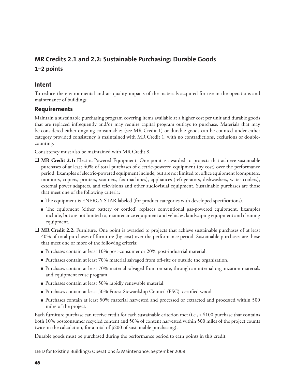## **MR Credits 2.1 and 2.2: Sustainable Purchasing: Durable Goods 1–2 points**

#### **Intent**

To reduce the environmental and air quality impacts of the materials acquired for use in the operations and maintenance of buildings.

#### **Requirements**

Maintain a sustainable purchasing program covering items available at a higher cost per unit and durable goods that are replaced infrequently and/or may require capital program outlays to purchase. Materials that may be considered either ongoing consumables (see MR Credit 1) or durable goods can be counted under either category provided consistency is maintained with MR Credit 1, with no contradictions, exclusions or doublecounting.

Consistency must also be maintained with MR Credit 8.

- **MR Credit 2.1:** Electric-Powered Equipment. One point is awarded to projects that achieve sustainable purchases of at least 40% of total purchases of electric-powered equipment (by cost) over the performance period. Examples of electric-powered equipment include, but are not limited to, office equipment (computers, monitors, copiers, printers, scanners, fax machines), appliances (refrigerators, dishwashers, water coolers), external power adapters, and televisions and other audiovisual equipment. Sustainable purchases are those that meet one of the following criteria:
	- The equipment is ENERGY STAR labeled (for product categories with developed specifications).
	- § The equipment (either battery or corded) replaces conventional gas-powered equipment. Examples include, but are not limited to, maintenance equipment and vehicles, landscaping equipment and cleaning equipment.
- **MR Credit 2.2:** Furniture. One point is awarded to projects that achieve sustainable purchases of at least 40% of total purchases of furniture (by cost) over the performance period. Sustainable purchases are those that meet one or more of the following criteria:
	- Purchases contain at least 10% post-consumer or 20% post-industrial material.
	- Purchases contain at least 70% material salvaged from off-site or outside the organization.
	- § Purchases contain at least 70% material salvaged from on-site, through an internal organization materials and equipment reuse program.
	- Purchases contain at least 50% rapidly renewable material.
	- Purchases contain at least 50% Forest Stewardship Council (FSC)–certified wood.
	- § Purchases contain at least 50% material harvested and processed or extracted and processed within 500 miles of the project.

Each furniture purchase can receive credit for each sustainable criterion met (i.e., a \$100 purchase that contains both 10% postconsumer recycled content and 50% of content harvested within 500 miles of the project counts twice in the calculation, for a total of \$200 of sustainable purchasing).

Durable goods must be purchased during the performance period to earn points in this credit.

LEED for Existing Buildings: Operations & Maintenance, September 2008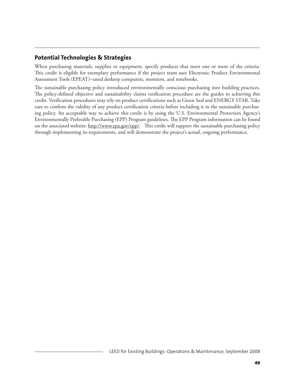## **Potential Technologies & Strategies**

When purchasing materials, supplies or equipment, specify products that meet one or more of the criteria. This credit is eligible for exemplary performance if the project team uses Electronic Product Environmental Assessment Tools (EPEAT)–rated desktop computers, monitors, and notebooks.

The sustainable purchasing policy introduced environmentally conscious purchasing into building practices. The policy-defined objective and sustainability claims verification procedure are the guides to achieving this credit. Verification procedures may rely on product certifications such as Green Seal and ENERGY STAR. Take care to confirm the validity of any product certification criteria before including it in the sustainable purchasing policy. An acceptable way to achieve this credit is by using the U.S. Environmental Protection Agency's Environmentally Preferable Purchasing (EPP) Program guidelines. The EPP Program information can be found on the associated website: <http://www.epa.gov/epp/>. This credit will support the sustainable purchasing policy through implementing its requirements, and will demonstrate the project's actual, ongoing performance.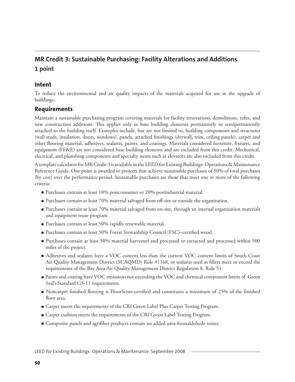## **MR Credit 3: Sustainable Purchasing: Facility Alterations and Additions 1 point**

#### **Intent**

To reduce the environmental and air quality impacts of the materials acquired for use in the upgrade of buildings.

#### **Requirements**

Maintain a sustainable purchasing program covering materials for facility renovations, demolitions, refits, and new construction additions. This applies only to base building elements permanently or semipermanently attached to the building itself. Examples include, but are not limited to, building components and structures (wall studs, insulation, doors, windows), panels, attached finishings (drywall, trim, ceiling panels), carpet and other flooring material, adhesives, sealants, paints, and coatings. Materials considered furniture, fixtures, and equipment (FF&E) are not considered base building elements and are excluded from this credit. Mechanical, electrical, and plumbing components and specialty items such as elevators are also excluded from this credit.

A template calculator for MR Credit 3 is available in the LEED for Existing Buildings: Operations & Maintenance Reference Guide. One point is awarded to projects that achieve sustainable purchases of 50% of total purchases (by cost) over the performance period. Sustainable purchases are those that meet one or more of the following criteria:

- Purchases contain at least 10% postconsumer or 20% postindustrial material.
- Purchases contain at least 70% material salvaged from off-site or outside the organization.
- Purchases contain at least 70% material salvaged from on-site, through an internal organization materials and equipment reuse program.
- Purchases contain at least 50% rapidly renewable material.
- Purchases contain at least 50% Forest Stewardship Council (FSC)–certified wood.
- § Purchases contain at least 50% material harvested and processed or extracted and processed within 500 miles of the project.
- Adhesives and sealants have a VOC content less than the current VOC content limits of South Coast Air Quality Management District (SCAQMD) Rule #1168, or sealants used as fillers meet or exceed the requirements of the Bay Area Air Quality Management District Regulation 8, Rule 51.
- Paints and coating have VOC emissions not exceeding the VOC and chemical component limits of Green Seal's Standard GS-11 requirements.
- § Noncarpet finished flooring is FloorScore-certified and constitutes a minimum of 25% of the finished floor area.
- Carpet meets the requirements of the CRI Green Label Plus Carpet Testing Program.
- Carpet cushion meets the requirements of the CRI Green Label Testing Program.
- Composite panels and agrifiber products contain no added urea-formaldehyde resins.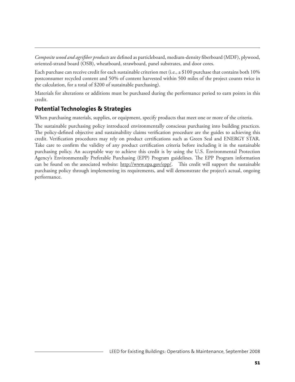*Composite wood and agrifiber products* are defined as particleboard, medium-density fiberboard (MDF), plywood, oriented-strand board (OSB), wheatboard, strawboard, panel substrates, and door cores.

Each purchase can receive credit for each sustainable criterion met (i.e., a \$100 purchase that contains both 10% postconsumer recycled content and 50% of content harvested within 500 miles of the project counts twice in the calculation, for a total of \$200 of sustainable purchasing).

Materials for alterations or additions must be purchased during the performance period to earn points in this credit.

## **Potential Technologies & Strategies**

When purchasing materials, supplies, or equipment, specify products that meet one or more of the criteria.

The sustainable purchasing policy introduced environmentally conscious purchasing into building practices. The policy-defined objective and sustainability claims verification procedure are the guides to achieving this credit. Verification procedures may rely on product certifications such as Green Seal and ENERGY STAR. Take care to confirm the validity of any product certification criteria before including it in the sustainable purchasing policy. An acceptable way to achieve this credit is by using the U.S. Environmental Protection Agency's Environmentally Preferable Purchasing (EPP) Program guidelines. The EPP Program information can be found on the associated website: [http://www.epa.gov/epp/.](http://www.epa.gov/epp/) This credit will support the sustainable purchasing policy through implementing its requirements, and will demonstrate the project's actual, ongoing performance.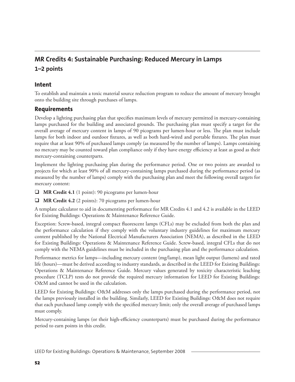## **MR Credits 4: Sustainable Purchasing: Reduced Mercury in Lamps 1–2 points**

#### **Intent**

To establish and maintain a toxic material source reduction program to reduce the amount of mercury brought onto the building site through purchases of lamps.

#### **Requirements**

Develop a lighting purchasing plan that specifies maximum levels of mercury permitted in mercury-containing lamps purchased for the building and associated grounds. The purchasing plan must specify a target for the overall average of mercury content in lamps of 90 picograms per lumen-hour or less. The plan must include lamps for both indoor and outdoor fixtures, as well as both hard-wired and portable fixtures. The plan must require that at least 90% of purchased lamps comply (as measured by the number of lamps). Lamps containing no mercury may be counted toward plan compliance only if they have energy efficiency at least as good as their mercury-containing counterparts.

Implement the lighting purchasing plan during the performance period. One or two points are awarded to projects for which at least 90% of all mercury-containing lamps purchased during the performance period (as measured by the number of lamps) comply with the purchasing plan and meet the following overall targets for mercury content:

- **MR Credit 4.1** (1 point): 90 picograms per lumen-hour
- **MR Credit 4.2** (2 points): 70 picograms per lumen-hour

A template calculator to aid in documenting performance for MR Credits 4.1 and 4.2 is available in the LEED for Existing Buildings: Operations & Maintenance Reference Guide.

Exception: Screw-based, integral compact fluorescent lamps (CFLs) may be excluded from both the plan and the performance calculation if they comply with the voluntary industry guidelines for maximum mercury content published by the National Electrical Manufacturers Association (NEMA), as described in the LEED for Existing Buildings: Operations & Maintenance Reference Guide. Screw-based, integral CFLs that do not comply with the NEMA guidelines must be included in the purchasing plan and the performance calculation.

Performance metrics for lamps—including mercury content (mg/lamp), mean light output (lumens) and rated life (hours)—must be derived according to industry standards, as described in the LEED for Existing Buildings: Operations & Maintenance Reference Guide. Mercury values generated by toxicity characteristic leaching procedure (TCLP) tests do not provide the required mercury information for LEED for Existing Buildings: O&M and cannot be used in the calculation.

LEED for Existing Buildings: O&M addresses only the lamps purchased during the performance period, not the lamps previously installed in the building. Similarly, LEED for Existing Buildings: O&M does not require that each purchased lamp comply with the specified mercury limit; only the overall average of purchased lamps must comply.

Mercury-containing lamps (or their high-efficiency counterparts) must be purchased during the performance period to earn points in this credit.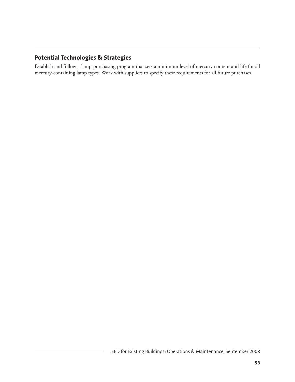## **Potential Technologies & Strategies**

Establish and follow a lamp-purchasing program that sets a minimum level of mercury content and life for all mercury-containing lamp types. Work with suppliers to specify these requirements for all future purchases.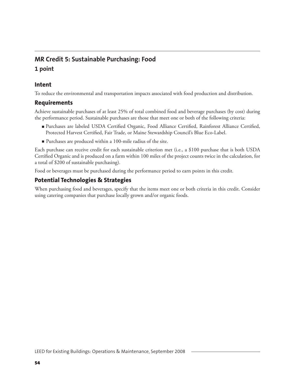## **MR Credit 5: Sustainable Purchasing: Food**

## **1 point**

## **Intent**

To reduce the environmental and transportation impacts associated with food production and distribution.

#### **Requirements**

Achieve sustainable purchases of at least 25% of total combined food and beverage purchases (by cost) during the performance period. Sustainable purchases are those that meet one or both of the following criteria:

- § Purchases are labeled USDA Certified Organic, Food Alliance Certified, Rainforest Alliance Certified, Protected Harvest Certified, Fair Trade, or Maine Stewardship Council's Blue Eco-Label.
- Purchases are produced within a 100-mile radius of the site.

Each purchase can receive credit for each sustainable criterion met (i.e., a \$100 purchase that is both USDA Certified Organic and is produced on a farm within 100 miles of the project counts twice in the calculation, for a total of \$200 of sustainable purchasing).

Food or beverages must be purchased during the performance period to earn points in this credit.

## **Potential Technologies & Strategies**

When purchasing food and beverages, specify that the items meet one or both criteria in this credit. Consider using catering companies that purchase locally grown and/or organic foods.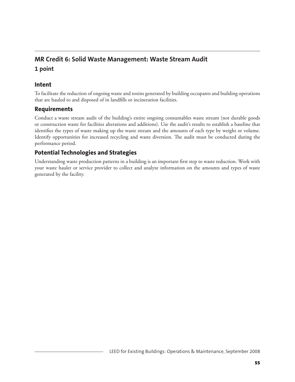## **MR Credit 6: Solid Waste Management: Waste Stream Audit**

## **1 point**

## **Intent**

To facilitate the reduction of ongoing waste and toxins generated by building occupants and building operations that are hauled to and disposed of in landfills or incineration facilities.

## **Requirements**

Conduct a waste stream audit of the building's entire ongoing consumables waste stream (not durable goods or construction waste for facilities alterations and additions). Use the audit's results to establish a baseline that identifies the types of waste making up the waste stream and the amounts of each type by weight or volume. Identify opportunities for increased recycling and waste diversion. The audit must be conducted during the performance period.

## **Potential Technologies and Strategies**

Understanding waste production patterns in a building is an important first step to waste reduction. Work with your waste hauler or service provider to collect and analyze information on the amounts and types of waste generated by the facility.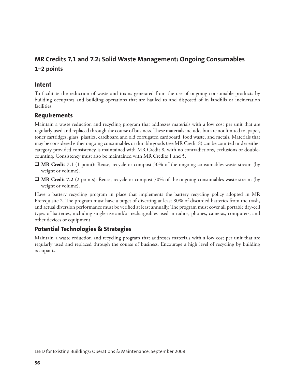## **MR Credits 7.1 and 7.2: Solid Waste Management: Ongoing Consumables 1–2 points**

#### **Intent**

To facilitate the reduction of waste and toxins generated from the use of ongoing consumable products by building occupants and building operations that are hauled to and disposed of in landfills or incineration facilities.

#### **Requirements**

Maintain a waste reduction and recycling program that addresses materials with a low cost per unit that are regularly used and replaced through the course of business. These materials include, but are not limited to, paper, toner cartridges, glass, plastics, cardboard and old corrugated cardboard, food waste, and metals. Materials that may be considered either ongoing consumables or durable goods (see MR Credit 8) can be counted under either category provided consistency is maintained with MR Credit 8, with no contradictions, exclusions or doublecounting. Consistency must also be maintained with MR Credits 1 and 5.

- **MR Credit 7.1** (1 point): Reuse, recycle or compost 50% of the ongoing consumables waste stream (by weight or volume).
- **MR Credit 7.2** (2 points): Reuse, recycle or compost 70% of the ongoing consumables waste stream (by weight or volume).

Have a battery recycling program in place that implements the battery recycling policy adopted in MR Prerequisite 2. The program must have a target of diverting at least 80% of discarded batteries from the trash, and actual diversion performance must be verified at least annually. The program must cover all portable dry-cell types of batteries, including single-use and/or rechargeables used in radios, phones, cameras, computers, and other devices or equipment.

## **Potential Technologies & Strategies**

Maintain a waste reduction and recycling program that addresses materials with a low cost per unit that are regularly used and replaced through the course of business. Encourage a high level of recycling by building occupants.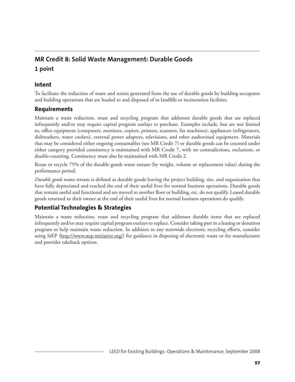# **MR Credit 8: Solid Waste Management: Durable Goods**

## **1 point**

## **Intent**

To facilitate the reduction of waste and toxins generated from the use of durable goods by building occupants and building operations that are hauled to and disposed of in landfills or incineration facilities.

## **Requirements**

Maintain a waste reduction, reuse and recycling program that addresses durable goods that are replaced infrequently and/or may require capital program outlays to purchase. Examples include, but are not limited to, office equipment (computers, monitors, copiers, printers, scanners, fax machines), appliances (refrigerators, dishwashers, water coolers), external power adapters, televisions, and other audiovisual equipment. Materials that may be considered either ongoing consumables (see MR Credit 7) or durable goods can be counted under either category provided consistency is maintained with MR Credit 7, with no contradictions, exclusions, or double-counting. Consistency must also be maintained with MR Credit 2.

Reuse or recycle 75% of the durable goods waste stream (by weight, volume or replacement value) during the performance period.

*Durable goods* waste stream is defined as durable goods leaving the project building, site, and organization that have fully depreciated and reached the end of their useful lives for normal business operations. Durable goods that remain useful and functional and are moved to another floor or building, etc. do not qualify. Leased durable goods returned to their owner at the end of their useful lives for normal business operations do qualify.

## **Potential Technologies & Strategies**

Maintain a waste reduction, reuse and recycling program that addresses durable items that are replaced infrequently and/or may require capital program outlays to replace. Consider taking part in a leasing or donation program to help maintain waste reduction. In addition to any statewide electronic recycling efforts, consider using StEP (<http://www.step-initiative.org/>) for guidance in disposing of electronic waste or for manufacturer and provider takeback options.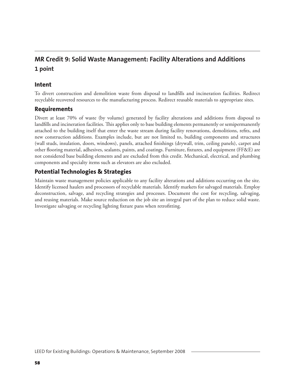## **MR Credit 9: Solid Waste Management: Facility Alterations and Additions 1 point**

#### **Intent**

To divert construction and demolition waste from disposal to landfills and incineration facilities. Redirect recyclable recovered resources to the manufacturing process. Redirect reusable materials to appropriate sites.

#### **Requirements**

Divert at least 70% of waste (by volume) generated by facility alterations and additions from disposal to landfills and incineration facilities. This applies only to base building elements permanently or semipermanently attached to the building itself that enter the waste stream during facility renovations, demolitions, refits, and new construction additions. Examples include, but are not limited to, building components and structures (wall studs, insulation, doors, windows), panels, attached finishings (drywall, trim, ceiling panels), carpet and other flooring material, adhesives, sealants, paints, and coatings. Furniture, fixtures, and equipment (FF&E) are not considered base building elements and are excluded from this credit. Mechanical, electrical, and plumbing components and specialty items such as elevators are also excluded.

## **Potential Technologies & Strategies**

Maintain waste management policies applicable to any facility alterations and additions occurring on the site. Identify licensed haulers and processors of recyclable materials. Identify markets for salvaged materials. Employ deconstruction, salvage, and recycling strategies and processes. Document the cost for recycling, salvaging, and reusing materials. Make source reduction on the job site an integral part of the plan to reduce solid waste. Investigate salvaging or recycling lighting fixture pans when retrofitting.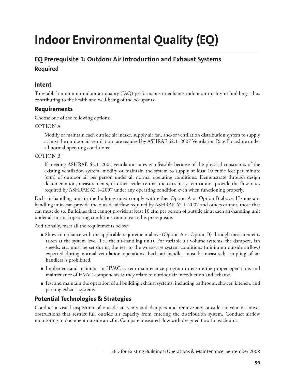# **Indoor Environmental Quality (EQ)**

## **EQ Prerequisite 1: Outdoor Air Introduction and Exhaust Systems Required**

#### **Intent**

To establish minimum indoor air quality (IAQ) performance to enhance indoor air quality in buildings, thus contributing to the health and well-being of the occupants.

#### **Requirements**

Choose one of the following options:

#### OPTION A

Modify or maintain each outside air intake, supply air fan, and/or ventilation distribution system to supply at least the outdoor air ventilation rate required by ASHRAE 62.1–2007 Ventilation Rate Procedure under all normal operating conditions.

#### OPTION B

If meeting ASHRAE 62.1–2007 ventilation rates is infeasible because of the physical constraints of the existing ventilation system, modify or maintain the system to supply at least 10 cubic feet per minute (cfm) of outdoor air per person under all normal operating conditions. Demonstrate through design documentation, measurements, or other evidence that the current system cannot provide the flow rates required by ASHRAE 62.1–2007 under any operating condition even when functioning properly.

Each air-handling unit in the building must comply with either Option A or Option B above. If some airhandling units can provide the outside airflow required by ASHRAE 62.1–2007 and others cannot, those that can must do so. Buildings that cannot provide at least 10 cfm per person of outside air at each air-handling unit under all normal operating conditions cannot earn this prerequisite.

Additionally, meet all the requirements below:

- Show compliance with the applicable requirement above (Option A or Option B) through measurements taken at the system level (i.e., the air-handling unit). For variable air volume systems, the dampers, fan speeds, etc. must be set during the test to the worst-case system conditions (minimum outside airflow) expected during normal ventilation operations. Each air handler must be measured; sampling of air handlers is prohibited.
- **Implement and maintain an HVAC system maintenance program to ensure the proper operations and** maintenance of HVAC components as they relate to outdoor air introduction and exhaust.
- Test and maintain the operation of all building exhaust systems, including bathroom, shower, kitchen, and parking exhaust systems.

## **Potential Technologies & Strategies**

Conduct a visual inspection of outside air vents and dampers and remove any outside air vent or louver obstructions that restrict full outside air capacity from entering the distribution system. Conduct airflow monitoring to document outside air cfm. Compare measured flow with designed flow for each unit.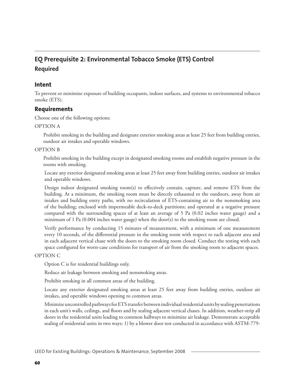## **EQ Prerequisite 2: Environmental Tobacco Smoke (ETS) Control Required**

#### **Intent**

To prevent or minimize exposure of building occupants, indoor surfaces, and systems to environmental tobacco smoke (ETS).

#### **Requirements**

Choose one of the following options:

#### OPTION A

Prohibit smoking in the building and designate exterior smoking areas at least 25 feet from building entries, outdoor air intakes and operable windows.

#### OPTION B

Prohibit smoking in the building except in designated smoking rooms and establish negative pressure in the rooms with smoking.

Locate any exterior designated smoking areas at least 25 feet away from building entries, outdoor air intakes and operable windows.

Design indoor designated smoking room(s) to effectively contain, capture, and remove ETS from the building. At a minimum, the smoking room must be directly exhausted to the outdoors, away from air intakes and building entry paths, with no recirculation of ETS-containing air to the nonsmoking area of the building; enclosed with impermeable deck-to-deck partitions; and operated at a negative pressure compared with the surrounding spaces of at least an average of 5 Pa (0.02 inches water gauge) and a minimum of 1 Pa (0.004 inches water gauge) when the door(s) to the smoking room are closed.

Verify performance by conducting 15 minutes of measurement, with a minimum of one measurement every 10 seconds, of the differential pressure in the smoking room with respect to each adjacent area and in each adjacent vertical chase with the doors to the smoking room closed. Conduct the testing with each space configured for worst-case conditions for transport of air from the smoking room to adjacent spaces.

#### OPTION C

Option C is for residential buildings only.

Reduce air leakage between smoking and nonsmoking areas.

Prohibit smoking in all common areas of the building.

Locate any exterior designated smoking areas at least 25 feet away from building entries, outdoor air intakes, and operable windows opening to common areas.

Minimize uncontrolled pathways for ETS transfer between individual residential units by sealing penetrations in each unit's walls, ceilings, and floors and by sealing adjacent vertical chases. In addition, weather-strip all doors in the residential units leading to common hallways to minimize air leakage. Demonstrate acceptable sealing of residential units in two ways: 1) by a blower door test conducted in accordance with ASTM-779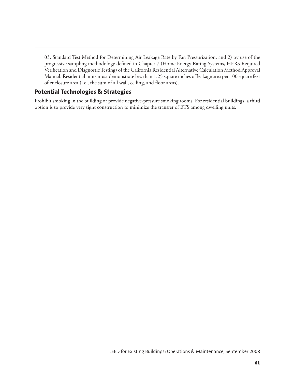03, Standard Test Method for Determining Air Leakage Rate by Fan Pressurization, and 2) by use of the progressive sampling methodology defined in Chapter 7 (Home Energy Rating Systems, HERS Required Verification and Diagnostic Testing) of the California Residential Alternative Calculation Method Approval Manual. Residential units must demonstrate less than 1.25 square inches of leakage area per 100 square feet of enclosure area (i.e., the sum of all wall, ceiling, and floor areas).

#### **Potential Technologies & Strategies**

Prohibit smoking in the building or provide negative-pressure smoking rooms. For residential buildings, a third option is to provide very tight construction to minimize the transfer of ETS among dwelling units.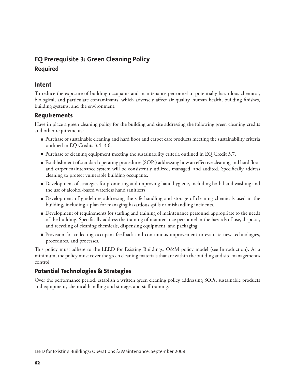## **EQ Prerequisite 3: Green Cleaning Policy Required**

#### **Intent**

To reduce the exposure of building occupants and maintenance personnel to potentially hazardous chemical, biological, and particulate contaminants, which adversely affect air quality, human health, building finishes, building systems, and the environment.

#### **Requirements**

Have in place a green cleaning policy for the building and site addressing the following green cleaning credits and other requirements:

- § Purchase of sustainable cleaning and hard floor and carpet care products meeting the sustainability criteria outlined in EQ Credits 3.4–3.6.
- Purchase of cleaning equipment meeting the sustainability criteria outlined in EQ Credit 3.7.
- Establishment of standard operating procedures (SOPs) addressing how an effective cleaning and hard floor and carpet maintenance system will be consistently utilized, managed, and audited. Specifically address cleaning to protect vulnerable building occupants.
- § Development of strategies for promoting and improving hand hygiene, including both hand washing and the use of alcohol-based waterless hand sanitizers.
- § Development of guidelines addressing the safe handling and storage of cleaning chemicals used in the building, including a plan for managing hazardous spills or mishandling incidents.
- Development of requirements for staffing and training of maintenance personnel appropriate to the needs of the building. Specifically address the training of maintenance personnel in the hazards of use, disposal, and recycling of cleaning chemicals, dispensing equipment, and packaging.
- § Provision for collecting occupant feedback and continuous improvement to evaluate new technologies, procedures, and processes.

This policy must adhere to the LEED for Existing Buildings: O&M policy model (see Introduction). At a minimum, the policy must cover the green cleaning materials that are within the building and site management's control.

## **Potential Technologies & Strategies**

Over the performance period, establish a written green cleaning policy addressing SOPs, sustainable products and equipment, chemical handling and storage, and staff training.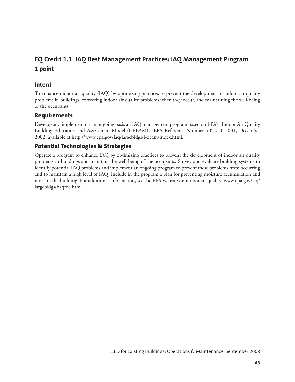## **EQ Credit 1.1: IAQ Best Management Practices: IAQ Management Program 1 point**

#### **Intent**

To enhance indoor air quality (IAQ) by optimizing practices to prevent the development of indoor air quality problems in buildings, correcting indoor air quality problems when they occur, and maintaining the well-being of the occupants.

## **Requirements**

Develop and implement on an ongoing basis an IAQ management program based on EPA's "Indoor Air Quality Building Education and Assessment Model (I-BEAM)," EPA Reference Number 402-C-01-001, December 2002, available at [http://www.epa.gov/iaq/largebldgs/i-beam/index.html.](http://www.epa.gov/iaq/largebldgs/i-beam/index.html)

## **Potential Technologies & Strategies**

Operate a program to enhance IAQ by optimizing practices to prevent the development of indoor air quality problems in buildings and maintain the well-being of the occupants. Survey and evaluate building systems to identify potential IAQ problems and implement an ongoing program to prevent these problems from occurring and to maintain a high level of IAQ. Include in the program a plan for preventing moisture accumulation and mold in the building. For additional information, see the EPA website on indoor air quality, [www.epa.gov/iaq/](www.epa.gov/iaq/ largebldgs/baqtoc.html) [largebldgs/baqtoc.html.](www.epa.gov/iaq/ largebldgs/baqtoc.html)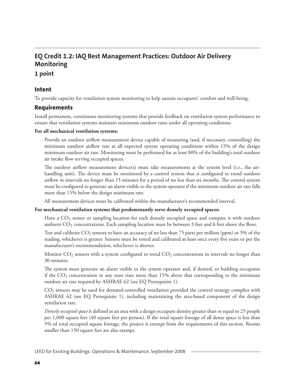## **EQ Credit 1.2: IAQ Best Management Practices: Outdoor Air Delivery Monitoring**

#### **1 point**

#### **Intent**

To provide capacity for ventilation system monitoring to help sustain occupants' comfort and well-being.

#### **Requirements**

Install permanent, continuous monitoring systems that provide feedback on ventilation system performance to ensure that ventilation systems maintain minimum outdoor rates under all operating conditions.

#### **For all mechanical ventilation systems:**

Provide an outdoor airflow measurement device capable of measuring (and, if necessary, controlling) the minimum outdoor airflow rate at all expected system operating conditions within 15% of the design minimum outdoor air rate. Monitoring must be performed for at least 80% of the building's total outdoor air intake flow serving occupied spaces.

The outdoor airflow measurement device(s) must take measurements at the system level (i.e., the airhandling unit). The device must be monitored by a control system that is configured to trend outdoor airflow in intervals no longer than 15 minutes for a period of no less than six months. The control system must be configured to generate an alarm visible to the system operator if the minimum outdoor air rate falls more than 15% below the design minimum rate.

All measurement devices must be calibrated within the manufacturer's recommended interval.

#### **For mechanical ventilation systems that predominantly serve densely occupied spaces:**

Have a CO<sub>2</sub> sensor or sampling location for each densely occupied space and compare it with outdoor ambient  $CO<sub>2</sub>$  concentrations. Each sampling location must be between 3 feet and 6 feet above the floor.

Test and calibrate CO<sub>2</sub> sensors to have an accuracy of no less than 75 parts per million (ppm) or 5% of the reading, whichever is greater. Sensors must be tested and calibrated at least once every five years or per the manufacturer's recommendation, whichever is shorter.

Monitor  $CO_2$  sensors with a system configured to trend  $CO_2$  concentrations in intervals no longer than 30 minutes.

The system must generate an alarm visible to the system operator and, if desired, to building occupants if the  $CO<sub>2</sub>$  concentration in any zone rises more than 15% above that corresponding to the minimum outdoor air rate required by ASHRAE 62 (see EQ Prerequisite 1).

CO2 sensors may be used for demand-controlled ventilation provided the control strategy complies with ASHRAE 62 (see EQ Prerequisite 1), including maintaining the area-based component of the design ventilation rate.

*Densely occupied space* is defined as an area with a design occupant density greater than or equal to 25 people per 1,000 square feet (40 square feet per person). If the total square footage of all dense space is less than 5% of total occupied square footage, the project is exempt from the requirements of this section. Rooms smaller than 150 square feet are also exempt.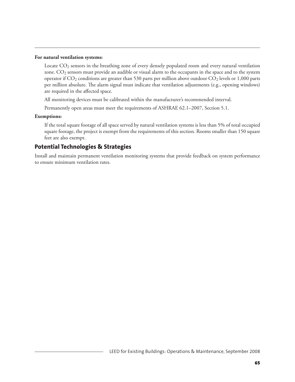#### **For natural ventilation systems:**

Locate CO<sub>2</sub> sensors in the breathing zone of every densely populated room and every natural ventilation zone.  $CO<sub>2</sub>$  sensors must provide an audible or visual alarm to the occupants in the space and to the system operator if  $CO_2$  conditions are greater than 530 parts per million above outdoor  $CO_2$  levels or 1,000 parts per million absolute. The alarm signal must indicate that ventilation adjustments (e.g., opening windows) are required in the affected space.

All monitoring devices must be calibrated within the manufacturer's recommended interval.

Permanently open areas must meet the requirements of ASHRAE 62.1–2007, Section 5.1.

#### **Exemptions:**

If the total square footage of all space served by natural ventilation systems is less than 5% of total occupied square footage, the project is exempt from the requirements of this section. Rooms smaller than 150 square feet are also exempt.

## **Potential Technologies & Strategies**

Install and maintain permanent ventilation monitoring systems that provide feedback on system performance to ensure minimum ventilation rates.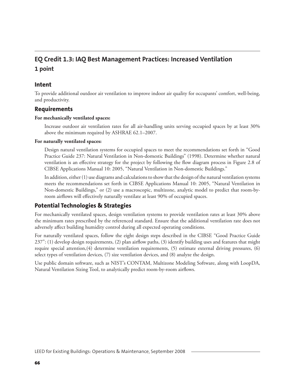## **EQ Credit 1.3: IAQ Best Management Practices: Increased Ventilation 1 point**

#### **Intent**

To provide additional outdoor air ventilation to improve indoor air quality for occupants' comfort, well-being, and productivity.

#### **Requirements**

#### **For mechanically ventilated spaces:**

Increase outdoor air ventilation rates for all air-handling units serving occupied spaces by at least 30% above the minimum required by ASHRAE 62.1–2007.

#### **For naturally ventilated spaces:**

Design natural ventilation systems for occupied spaces to meet the recommendations set forth in "Good Practice Guide 237: Natural Ventilation in Non-domestic Buildings" (1998). Determine whether natural ventilation is an effective strategy for the project by following the flow diagram process in Figure 2.8 of CIBSE Applications Manual 10: 2005, "Natural Ventilation in Non-domestic Buildings."

In addition, either (1) use diagrams and calculations to show that the design of the natural ventilation systems meets the recommendations set forth in CIBSE Applications Manual 10: 2005, "Natural Ventilation in Non-domestic Buildings," or (2) use a macroscopic, multizone, analytic model to predict that room-byroom airflows will effectively naturally ventilate at least 90% of occupied spaces.

#### **Potential Technologies & Strategies**

For mechanically ventilated spaces, design ventilation systems to provide ventilation rates at least 30% above the minimum rates prescribed by the referenced standard. Ensure that the additional ventilation rate does not adversely affect building humidity control during all expected operating conditions.

For naturally ventilated spaces, follow the eight design steps described in the CIBSE "Good Practice Guide 237": (1) develop design requirements, (2) plan airflow paths, (3) identify building uses and features that might require special attention,(4) determine ventilation requirements, (5) estimate external driving pressures, (6) select types of ventilation devices, (7) size ventilation devices, and (8) analyze the design.

Use public domain software, such as NIST's CONTAM, Multizone Modeling Software, along with LoopDA, Natural Ventilation Sizing Tool, to analytically predict room-by-room airflows.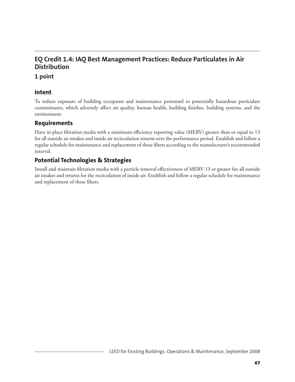## **EQ Credit 1.4: IAQ Best Management Practices: Reduce Particulates in Air Distribution**

#### **1 point**

## **Intent**

To reduce exposure of building occupants and maintenance personnel to potentially hazardous particulate contaminants, which adversely affect air quality, human health, building finishes, building systems, and the environment.

## **Requirements**

Have in place filtration media with a minimum efficiency reporting value (MERV) greater than or equal to 13 for all outside air intakes and inside air recirculation returns over the performance period. Establish and follow a regular schedule for maintenance and replacement of these filters according to the manufacturer's recommended interval.

## **Potential Technologies & Strategies**

Install and maintain filtration media with a particle removal effectiveness of MERV 13 or greater for all outside air intakes and returns for the recirculation of inside air. Establish and follow a regular schedule for maintenance and replacement of these filters.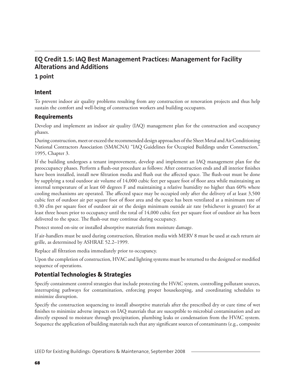## **EQ Credit 1.5: IAQ Best Management Practices: Management for Facility Alterations and Additions**

#### **1 point**

#### **Intent**

To prevent indoor air quality problems resulting from any construction or renovation projects and thus help sustain the comfort and well-being of construction workers and building occupants.

#### **Requirements**

Develop and implement an indoor air quality (IAQ) management plan for the construction and occupancy phases.

During construction, meet or exceed the recommended design approaches of the Sheet Metal and Air Conditioning National Contractors Association (SMACNA) "IAQ Guidelines for Occupied Buildings under Construction," 1995, Chapter 3.

If the building undergoes a tenant improvement, develop and implement an IAQ management plan for the preoccupancy phases. Perform a flush-out procedure as follows: After construction ends and all interior finishes have been installed, install new filtration media and flush out the affected space. The flush-out must be done by supplying a total outdoor air volume of 14,000 cubic feet per square foot of floor area while maintaining an internal temperature of at least 60 degrees F and maintaining a relative humidity no higher than 60% where cooling mechanisms are operated. The affected space may be occupied only after the delivery of at least 3,500 cubic feet of outdoor air per square foot of floor area and the space has been ventilated at a minimum rate of 0.30 cfm per square foot of outdoor air or the design minimum outside air rate (whichever is greater) for at least three hours prior to occupancy until the total of 14,000 cubic feet per square foot of outdoor air has been delivered to the space. The flush-out may continue during occupancy.

Protect stored on-site or installed absorptive materials from moisture damage.

If air-handlers must be used during construction, filtration media with MERV 8 must be used at each return air grille, as determined by ASHRAE 52.2–1999.

Replace all filtration media immediately prior to occupancy.

Upon the completion of construction, HVAC and lighting systems must be returned to the designed or modified sequence of operations.

## **Potential Technologies & Strategies**

Specify containment control strategies that include protecting the HVAC system, controlling pollutant sources, interrupting pathways for contamination, enforcing proper housekeeping, and coordinating schedules to minimize disruption.

Specify the construction sequencing to install absorptive materials after the prescribed dry or cure time of wet finishes to minimize adverse impacts on IAQ materials that are susceptible to microbial contamination and are directly exposed to moisture through precipitation, plumbing leaks or condensation from the HVAC system. Sequence the application of building materials such that any significant sources of contaminants (e.g., composite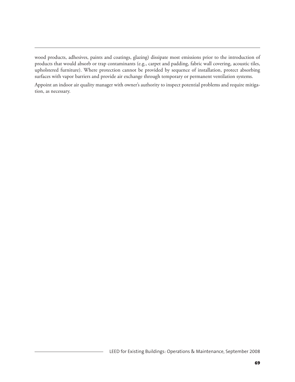wood products, adhesives, paints and coatings, glazing) dissipate most emissions prior to the introduction of products that would absorb or trap contaminants (e.g., carpet and padding, fabric wall covering, acoustic tiles, upholstered furniture). Where protection cannot be provided by sequence of installation, protect absorbing surfaces with vapor barriers and provide air exchange through temporary or permanent ventilation systems.

Appoint an indoor air quality manager with owner's authority to inspect potential problems and require mitigation, as necessary.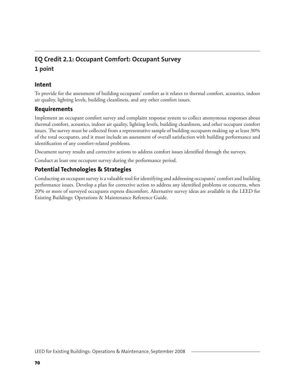# **EQ Credit 2.1: Occupant Comfort: Occupant Survey**

## **1 point**

## **Intent**

To provide for the assessment of building occupants' comfort as it relates to thermal comfort, acoustics, indoor air quality, lighting levels, building cleanliness, and any other comfort issues.

## **Requirements**

Implement an occupant comfort survey and complaint response system to collect anonymous responses about thermal comfort, acoustics, indoor air quality, lighting levels, building cleanliness, and other occupant comfort issues. The survey must be collected from a representative sample of building occupants making up at least 30% of the total occupants, and it must include an assessment of overall satisfaction with building performance and identification of any comfort-related problems.

Document survey results and corrective actions to address comfort issues identified through the surveys.

Conduct at least one occupant survey during the performance period.

## **Potential Technologies & Strategies**

Conducting an occupant survey is a valuable tool for identifying and addressing occupants' comfort and building performance issues. Develop a plan for corrective action to address any identified problems or concerns, when 20% or more of surveyed occupants express discomfort. Alternative survey ideas are available in the LEED for Existing Buildings: Operations & Maintenance Reference Guide.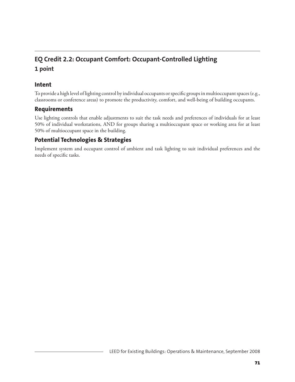## **EQ Credit 2.2: Occupant Comfort: Occupant-Controlled Lighting 1 point**

#### **Intent**

To provide a high level of lighting control by individual occupants or specific groups in multioccupant spaces (e.g., classrooms or conference areas) to promote the productivity, comfort, and well-being of building occupants.

#### **Requirements**

Use lighting controls that enable adjustments to suit the task needs and preferences of individuals for at least 50% of individual workstations, AND for groups sharing a multioccupant space or working area for at least 50% of multioccupant space in the building.

## **Potential Technologies & Strategies**

Implement system and occupant control of ambient and task lighting to suit individual preferences and the needs of specific tasks.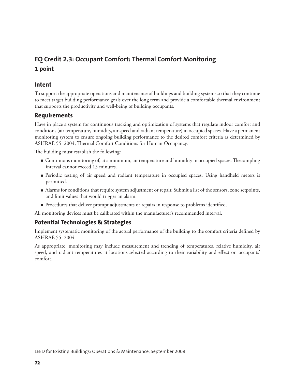## **EQ Credit 2.3: Occupant Comfort: Thermal Comfort Monitoring**

## **1 point**

#### **Intent**

To support the appropriate operations and maintenance of buildings and building systems so that they continue to meet target building performance goals over the long term and provide a comfortable thermal environment that supports the productivity and well-being of building occupants.

## **Requirements**

Have in place a system for continuous tracking and optimization of systems that regulate indoor comfort and conditions (air temperature, humidity, air speed and radiant temperature) in occupied spaces. Have a permanent monitoring system to ensure ongoing building performance to the desired comfort criteria as determined by ASHRAE 55–2004, Thermal Comfort Conditions for Human Occupancy.

The building must establish the following:

- Continuous monitoring of, at a minimum, air temperature and humidity in occupied spaces. The sampling interval cannot exceed 15 minutes.
- Periodic testing of air speed and radiant temperature in occupied spaces. Using handheld meters is permitted.
- Alarms for conditions that require system adjustment or repair. Submit a list of the sensors, zone setpoints, and limit values that would trigger an alarm.
- Procedures that deliver prompt adjustments or repairs in response to problems identified.

All monitoring devices must be calibrated within the manufacturer's recommended interval.

## **Potential Technologies & Strategies**

Implement systematic monitoring of the actual performance of the building to the comfort criteria defined by ASHRAE 55–2004.

As appropriate, monitoring may include measurement and trending of temperatures, relative humidity, air speed, and radiant temperatures at locations selected according to their variability and effect on occupants' comfort.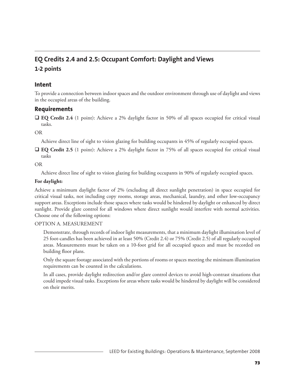# **EQ Credits 2.4 and 2.5: Occupant Comfort: Daylight and Views 1-2 points**

#### **Intent**

To provide a connection between indoor spaces and the outdoor environment through use of daylight and views in the occupied areas of the building.

#### **Requirements**

■ **EQ Credit 2.4** (1 point): Achieve a 2% daylight factor in 50% of all spaces occupied for critical visual tasks.

OR

Achieve direct line of sight to vision glazing for building occupants in 45% of regularly occupied spaces.

 **EQ Credit 2.5** (1 point): Achieve a 2% daylight factor in 75% of all spaces occupied for critical visual tasks

OR

Achieve direct line of sight to vision glazing for building occupants in 90% of regularly occupied spaces.

#### **For daylight:**

Achieve a minimum daylight factor of 2% (excluding all direct sunlight penetration) in space occupied for critical visual tasks, not including copy rooms, storage areas, mechanical, laundry, and other low-occupancy support areas. Exceptions include those spaces where tasks would be hindered by daylight or enhanced by direct sunlight. Provide glare control for all windows where direct sunlight would interfere with normal activities. Choose one of the following options:

#### OPTION A. MEASUREMENT

Demonstrate, through records of indoor light measurements, that a minimum daylight illumination level of 25 foot-candles has been achieved in at least 50% (Credit 2.4) or 75% (Credit 2.5) of all regularly occupied areas. Measurements must be taken on a 10-foot grid for all occupied spaces and must be recorded on building floor plans.

Only the square footage associated with the portions of rooms or spaces meeting the minimum illumination requirements can be counted in the calculations.

In all cases, provide daylight redirection and/or glare control devices to avoid high-contrast situations that could impede visual tasks. Exceptions for areas where tasks would be hindered by daylight will be considered on their merits.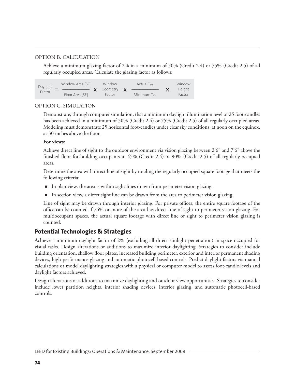#### OPTION B. CALCULATION

Achieve a minimum glazing factor of 2% in a minimum of 50% (Credit 2.4) or 75% (Credit 2.5) of all regularly occupied areas. Calculate the glazing factor as follows:

| Window           | Actual T <sub>VIS</sub> |                                                                                              | Window           |
|------------------|-------------------------|----------------------------------------------------------------------------------------------|------------------|
|                  |                         |                                                                                              | Height<br>Factor |
| Window Area [SF] |                         | $\mathbf x$ Geometry $\mathbf x$ ——<br>Floor Area [SF]<br>Factor<br>Minimum $T_{\text{VIS}}$ |                  |

#### OPTION C. SIMULATION

Demonstrate, through computer simulation, that a minimum daylight illumination level of 25 foot-candles has been achieved in a minimum of 50% (Credit 2.4) or 75% (Credit 2.5) of all regularly occupied areas. Modeling must demonstrate 25 horizontal foot-candles under clear sky conditions, at noon on the equinox, at 30 inches above the floor.

#### **For views:**

Achieve direct line of sight to the outdoor environment via vision glazing between 2'6" and 7'6" above the finished floor for building occupants in 45% (Credit 2.4) or 90% (Credit 2.5) of all regularly occupied areas.

Determine the area with direct line of sight by totaling the regularly occupied square footage that meets the following criteria:

- In plan view, the area is within sight lines drawn from perimeter vision glazing.
- In section view, a direct sight line can be drawn from the area to perimeter vision glazing.

Line of sight may be drawn through interior glazing. For private offices, the entire square footage of the office can be counted if 75% or more of the area has direct line of sight to perimeter vision glazing. For multioccupant spaces, the actual square footage with direct line of sight to perimeter vision glazing is counted.

#### **Potential Technologies & Strategies**

Achieve a minimum daylight factor of 2% (excluding all direct sunlight penetration) in space occupied for visual tasks. Design alterations or additions to maximize interior daylighting. Strategies to consider include building orientation, shallow floor plates, increased building perimeter, exterior and interior permanent shading devices, high-performance glazing and automatic photocell-based controls. Predict daylight factors via manual calculations or model daylighting strategies with a physical or computer model to assess foot-candle levels and daylight factors achieved.

Design alterations or additions to maximize daylighting and outdoor view opportunities. Strategies to consider include lower partition heights, interior shading devices, interior glazing, and automatic photocell-based controls.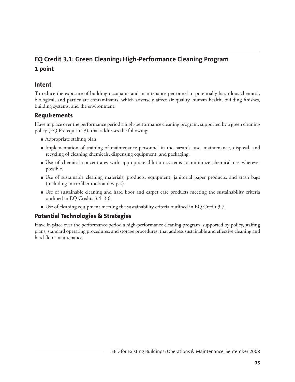# **EQ Credit 3.1: Green Cleaning: High-Performance Cleaning Program 1 point**

#### **Intent**

To reduce the exposure of building occupants and maintenance personnel to potentially hazardous chemical, biological, and particulate contaminants, which adversely affect air quality, human health, building finishes, building systems, and the environment.

#### **Requirements**

Have in place over the performance period a high-performance cleaning program, supported by a green cleaning policy (EQ Prerequisite 3), that addresses the following:

- Appropriate staffing plan.
- Implementation of training of maintenance personnel in the hazards, use, maintenance, disposal, and recycling of cleaning chemicals, dispensing equipment, and packaging.
- Use of chemical concentrates with appropriate dilution systems to minimize chemical use wherever possible.
- § Use of sustainable cleaning materials, products, equipment, janitorial paper products, and trash bags (including microfiber tools and wipes).
- Use of sustainable cleaning and hard floor and carpet care products meeting the sustainability criteria outlined in EQ Credits 3.4–3.6.
- Use of cleaning equipment meeting the sustainability criteria outlined in EQ Credit 3.7.

## **Potential Technologies & Strategies**

Have in place over the performance period a high-performance cleaning program, supported by policy, staffing plans, standard operating procedures, and storage procedures, that address sustainable and effective cleaning and hard floor maintenance.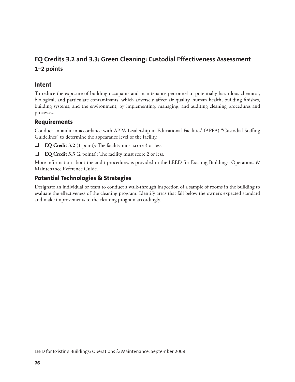# **EQ Credits 3.2 and 3.3: Green Cleaning: Custodial Effectiveness Assessment 1–2 points**

#### **Intent**

To reduce the exposure of building occupants and maintenance personnel to potentially hazardous chemical, biological, and particulate contaminants, which adversely affect air quality, human health, building finishes, building systems, and the environment, by implementing, managing, and auditing cleaning procedures and processes.

#### **Requirements**

Conduct an audit in accordance with APPA Leadership in Educational Facilities' (APPA) "Custodial Staffing Guidelines" to determine the appearance level of the facility.

- **EQ Credit 3.2** (1 point): The facility must score 3 or less.
- **EQ Credit 3.3** (2 points): The facility must score 2 or less.

More information about the audit procedures is provided in the LEED for Existing Buildings: Operations & Maintenance Reference Guide.

#### **Potential Technologies & Strategies**

Designate an individual or team to conduct a walk-through inspection of a sample of rooms in the building to evaluate the effectiveness of the cleaning program. Identify areas that fall below the owner's expected standard and make improvements to the cleaning program accordingly.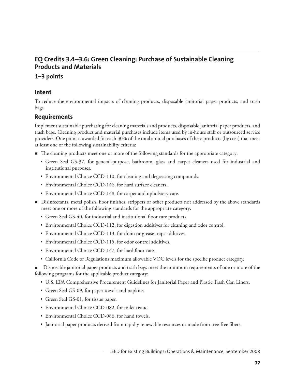## **EQ Credits 3.4–3.6: Green Cleaning: Purchase of Sustainable Cleaning Products and Materials**

#### **1–3 points**

#### **Intent**

To reduce the environmental impacts of cleaning products, disposable janitorial paper products, and trash bags.

#### **Requirements**

Implement sustainable purchasing for cleaning materials and products, disposable janitorial paper products, and trash bags. Cleaning product and material purchases include items used by in-house staff or outsourced service providers. One point is awarded for each 30% of the total annual purchases of these products (by cost) that meet at least one of the following sustainability criteria:

- The cleaning products meet one or more of the following standards for the appropriate category:
	- • Green Seal GS-37, for general-purpose, bathroom, glass and carpet cleaners used for industrial and institutional purposes.
	- Environmental Choice CCD-110, for cleaning and degreasing compounds.
	- Environmental Choice CCD-146, for hard surface cleaners.
	- Environmental Choice CCD-148, for carpet and upholstery care.
- Disinfectants, metal polish, floor finishes, strippers or other products not addressed by the above standards meet one or more of the following standards for the appropriate category:
	- Green Seal GS-40, for industrial and institutional floor care products.
	- • Environmental Choice CCD-112, for digestion additives for cleaning and odor control.
	- Environmental Choice CCD-113, for drain or grease traps additives.
	- Environmental Choice CCD-115, for odor control additives.
	- Environmental Choice CCD-147, for hard floor care.
	- • California Code of Regulations maximum allowable VOC levels for the specific product category.

**■** Disposable janitorial paper products and trash bags meet the minimum requirements of one or more of the following programs for the applicable product category:

- • U.S. EPA Comprehensive Procurement Guidelines for Janitorial Paper and Plastic Trash Can Liners.
- Green Seal GS-09, for paper towels and napkins.
- Green Seal GS-01, for tissue paper.
- Environmental Choice CCD-082, for toilet tissue.
- Environmental Choice CCD-086, for hand towels.
- Janitorial paper products derived from rapidly renewable resources or made from tree-free fibers.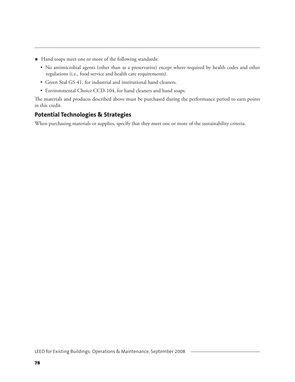- Hand soaps meet one or more of the following standards:
	- No antimicrobial agents (other than as a preservative) except where required by health codes and other regulations (i.e., food service and health care requirements).
	- Green Seal GS-41, for industrial and institutional hand cleaners.
	- Environmental Choice CCD-104, for hand cleaners and hand soaps.

The materials and products described above must be purchased during the performance period to earn points in this credit.

#### **Potential Technologies & Strategies**

When purchasing materials or supplies, specify that they meet one or more of the sustainability criteria.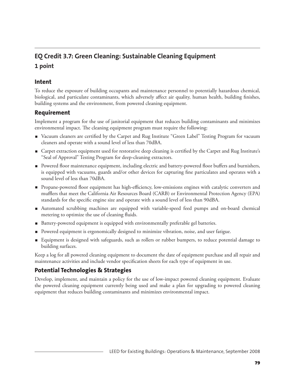# **EQ Credit 3.7: Green Cleaning: Sustainable Cleaning Equipment**

## **1 point**

### **Intent**

To reduce the exposure of building occupants and maintenance personnel to potentially hazardous chemical, biological, and particulate contaminants, which adversely affect air quality, human health, building finishes, building systems and the environment, from powered cleaning equipment.

#### **Requirement**

Implement a program for the use of janitorial equipment that reduces building contaminants and minimizes environmental impact. The cleaning equipment program must require the following:

- Vacuum cleaners are certified by the Carpet and Rug Institute "Green Label" Testing Program for vacuum cleaners and operate with a sound level of less than 70dBA.
- Carpet extraction equipment used for restorative deep cleaning is certified by the Carpet and Rug Institute's "Seal of Approval" Testing Program for deep-cleaning extractors.
- Powered floor maintenance equipment, including electric and battery-powered floor buffers and burnishers, is equipped with vacuums, guards and/or other devices for capturing fine particulates and operates with a sound level of less than 70dBA.
- § Propane-powered floor equipment has high-efficiency, low-emissions engines with catalytic converters and mufflers that meet the California Air Resources Board (CARB) or Environmental Protection Agency (EPA) standards for the specific engine size and operate with a sound level of less than 90dBA.
- § Automated scrubbing machines are equipped with variable-speed feed pumps and on-board chemical metering to optimize the use of cleaning fluids.
- Battery-powered equipment is equipped with environmentally preferable gel batteries.
- Powered equipment is ergonomically designed to minimize vibration, noise, and user fatigue.
- Equipment is designed with safeguards, such as rollers or rubber bumpers, to reduce potential damage to building surfaces.

Keep a log for all powered cleaning equipment to document the date of equipment purchase and all repair and maintenance activities and include vendor specification sheets for each type of equipment in use.

## **Potential Technologies & Strategies**

Develop, implement, and maintain a policy for the use of low-impact powered cleaning equipment. Evaluate the powered cleaning equipment currently being used and make a plan for upgrading to powered cleaning equipment that reduces building contaminants and minimizes environmental impact.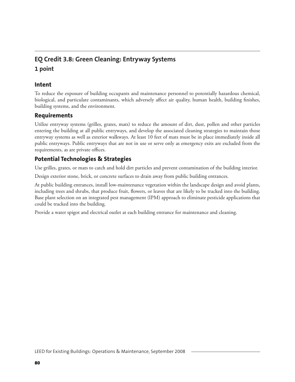# **EQ Credit 3.8: Green Cleaning: Entryway Systems**

#### **1 point**

#### **Intent**

To reduce the exposure of building occupants and maintenance personnel to potentially hazardous chemical, biological, and particulate contaminants, which adversely affect air quality, human health, building finishes, building systems, and the environment.

#### **Requirements**

Utilize entryway systems (grilles, grates, mats) to reduce the amount of dirt, dust, pollen and other particles entering the building at all public entryways, and develop the associated cleaning strategies to maintain those entryway systems as well as exterior walkways. At least 10 feet of mats must be in place immediately inside all public entryways. Public entryways that are not in use or serve only as emergency exits are excluded from the requirements, as are private offices.

### **Potential Technologies & Strategies**

Use grilles, grates, or mats to catch and hold dirt particles and prevent contamination of the building interior.

Design exterior stone, brick, or concrete surfaces to drain away from public building entrances.

At public building entrances, install low-maintenance vegetation within the landscape design and avoid plants, including trees and shrubs, that produce fruit, flowers, or leaves that are likely to be tracked into the building. Base plant selection on an integrated pest management (IPM) approach to eliminate pesticide applications that could be tracked into the building.

Provide a water spigot and electrical outlet at each building entrance for maintenance and cleaning.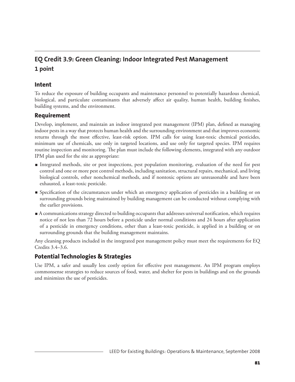# **EQ Credit 3.9: Green Cleaning: Indoor Integrated Pest Management 1 point**

#### **Intent**

To reduce the exposure of building occupants and maintenance personnel to potentially hazardous chemical, biological, and particulate contaminants that adversely affect air quality, human health, building finishes, building systems, and the environment.

#### **Requirement**

Develop, implement, and maintain an indoor integrated pest management (IPM) plan, defined as managing indoor pests in a way that protects human health and the surrounding environment and that improves economic returns through the most effective, least-risk option. IPM calls for using least-toxic chemical pesticides, minimum use of chemicals, use only in targeted locations, and use only for targeted species. IPM requires routine inspection and monitoring. The plan must include the following elements, integrated with any outdoor IPM plan used for the site as appropriate:

- Integrated methods, site or pest inspections, pest population monitoring, evaluation of the need for pest control and one or more pest control methods, including sanitation, structural repairs, mechanical, and living biological controls, other nonchemical methods, and if nontoxic options are unreasonable and have been exhausted, a least-toxic pesticide.
- § Specification of the circumstances under which an emergency application of pesticides in a building or on surrounding grounds being maintained by building management can be conducted without complying with the earlier provisions.
- § A communications strategy directed to building occupants that addresses universal notification, which requires notice of not less than 72 hours before a pesticide under normal conditions and 24 hours after application of a pesticide in emergency conditions, other than a least-toxic pesticide, is applied in a building or on surrounding grounds that the building management maintains.

Any cleaning products included in the integrated pest management policy must meet the requirements for EQ Credits 3.4–3.6.

## **Potential Technologies & Strategies**

Use IPM, a safer and usually less costly option for effective pest management. An IPM program employs commonsense strategies to reduce sources of food, water, and shelter for pests in buildings and on the grounds and minimizes the use of pesticides.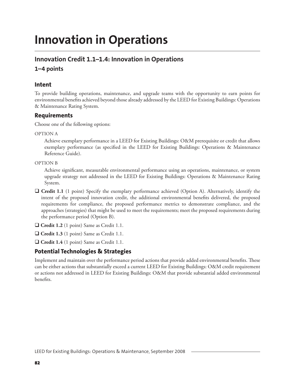# **Innovation in Operations**

## **Innovation Credit 1.1–1.4: Innovation in Operations**

### **1–4 points**

#### **Intent**

To provide building operations, maintenance, and upgrade teams with the opportunity to earn points for environmental benefits achieved beyond those already addressed by the LEED for Existing Buildings: Operations & Maintenance Rating System.

#### **Requirements**

Choose one of the following options:

#### OPTION A

Achieve exemplary performance in a LEED for Existing Buildings: O&M prerequisite or credit that allows exemplary performance (as specified in the LEED for Existing Buildings: Operations & Maintenance Reference Guide).

#### OPTION B

Achieve significant, measurable environmental performance using an operations, maintenance, or system upgrade strategy not addressed in the LEED for Existing Buildings: Operations & Maintenance Rating System.

- **Credit 1.1** (1 point) Specify the exemplary performance achieved (Option A). Alternatively, identify the intent of the proposed innovation credit, the additional environmental benefits delivered, the proposed requirements for compliance, the proposed performance metrics to demonstrate compliance, and the approaches (strategies) that might be used to meet the requirements; meet the proposed requirements during the performance period (Option B).
- **Credit 1.2** (1 point) Same as Credit 1.1.
- **Credit 1.3** (1 point) Same as Credit 1.1.

**Credit 1.4** (1 point) Same as Credit 1.1.

#### **Potential Technologies & Strategies**

Implement and maintain over the performance period actions that provide added environmental benefits. These can be either actions that substantially exceed a current LEED for Existing Buildings: O&M credit requirement or actions not addressed in LEED for Existing Buildings: O&M that provide substantial added environmental benefits.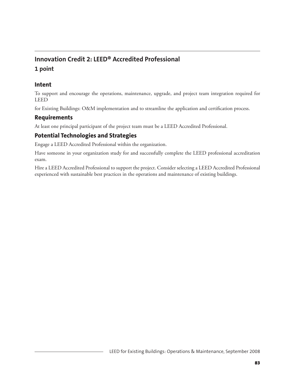## **Innovation Credit 2: LEED® Accredited Professional**

### **1 point**

#### **Intent**

To support and encourage the operations, maintenance, upgrade, and project team integration required for LEED

for Existing Buildings: O&M implementation and to streamline the application and certification process.

### **Requirements**

At least one principal participant of the project team must be a LEED Accredited Professional.

## **Potential Technologies and Strategies**

Engage a LEED Accredited Professional within the organization.

Have someone in your organization study for and successfully complete the LEED professional accreditation exam.

Hire a LEED Accredited Professional to support the project. Consider selecting a LEED Accredited Professional experienced with sustainable best practices in the operations and maintenance of existing buildings.